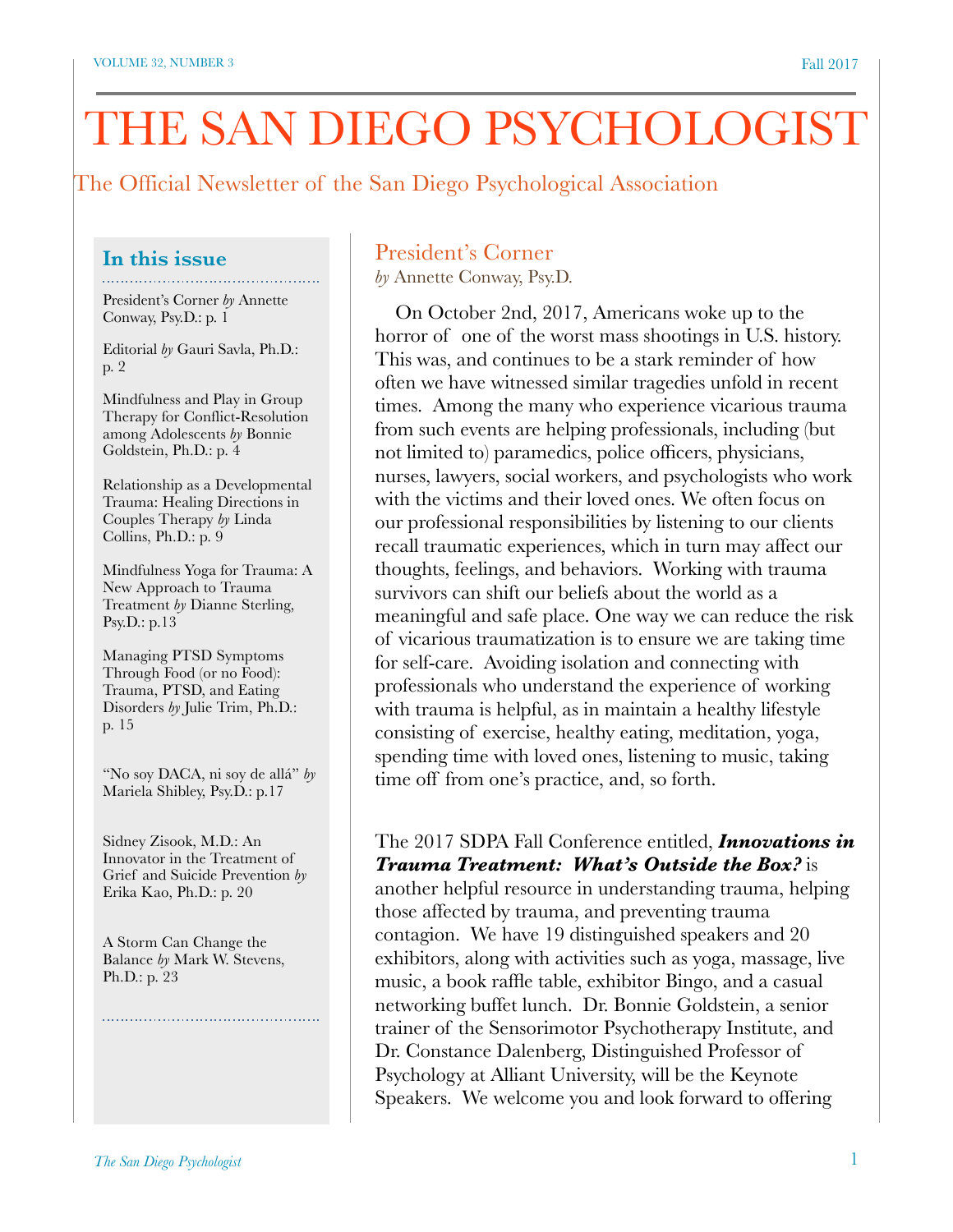# THE SAN DIEGO PSYCHOLOGIST

The Official Newsletter of the San Diego Psychological Association

# **In this issue**

President's Corner *by* Annette Conway, Psy.D.: p. 1

Editorial *by* Gauri Savla, Ph.D.: p. 2

Mindfulness and Play in Group Therapy for Conflict-Resolution among Adolescents *by* Bonnie Goldstein, Ph.D.: p. 4

Relationship as a Developmental Trauma: Healing Directions in Couples Therapy *by* Linda Collins, Ph.D.: p. 9

Mindfulness Yoga for Trauma: A New Approach to Trauma Treatment *by* Dianne Sterling, Psy.D.: p.13

Managing PTSD Symptoms Through Food (or no Food): Trauma, PTSD, and Eating Disorders *by* Julie Trim, Ph.D.: p. 15

"No soy DACA, ni soy de allá" *by* Mariela Shibley, Psy.D.: p.17

Sidney Zisook, M.D.: An Innovator in the Treatment of Grief and Suicide Prevention *by* Erika Kao, Ph.D.: p. 20

A Storm Can Change the Balance *by* Mark W. Stevens, Ph.D.: p. 23

# President's Corner

*by* Annette Conway, Psy.D.

 On October 2nd, 2017, Americans woke up to the horror of one of the worst mass shootings in U.S. history. This was, and continues to be a stark reminder of how often we have witnessed similar tragedies unfold in recent times. Among the many who experience vicarious trauma from such events are helping professionals, including (but not limited to) paramedics, police officers, physicians, nurses, lawyers, social workers, and psychologists who work with the victims and their loved ones. We often focus on our professional responsibilities by listening to our clients recall traumatic experiences, which in turn may affect our thoughts, feelings, and behaviors. Working with trauma survivors can shift our beliefs about the world as a meaningful and safe place. One way we can reduce the risk of vicarious traumatization is to ensure we are taking time for self-care. Avoiding isolation and connecting with professionals who understand the experience of working with trauma is helpful, as in maintain a healthy lifestyle consisting of exercise, healthy eating, meditation, yoga, spending time with loved ones, listening to music, taking time off from one's practice, and, so forth.

#### The 2017 SDPA Fall Conference entitled, *Innovations in Trauma Treatment: What's Outside the Box?* is

another helpful resource in understanding trauma, helping those affected by trauma, and preventing trauma contagion. We have 19 distinguished speakers and 20 exhibitors, along with activities such as yoga, massage, live music, a book raffle table, exhibitor Bingo, and a casual networking buffet lunch. Dr. Bonnie Goldstein, a senior trainer of the Sensorimotor Psychotherapy Institute, and Dr. Constance Dalenberg, Distinguished Professor of Psychology at Alliant University, will be the Keynote Speakers. We welcome you and look forward to offering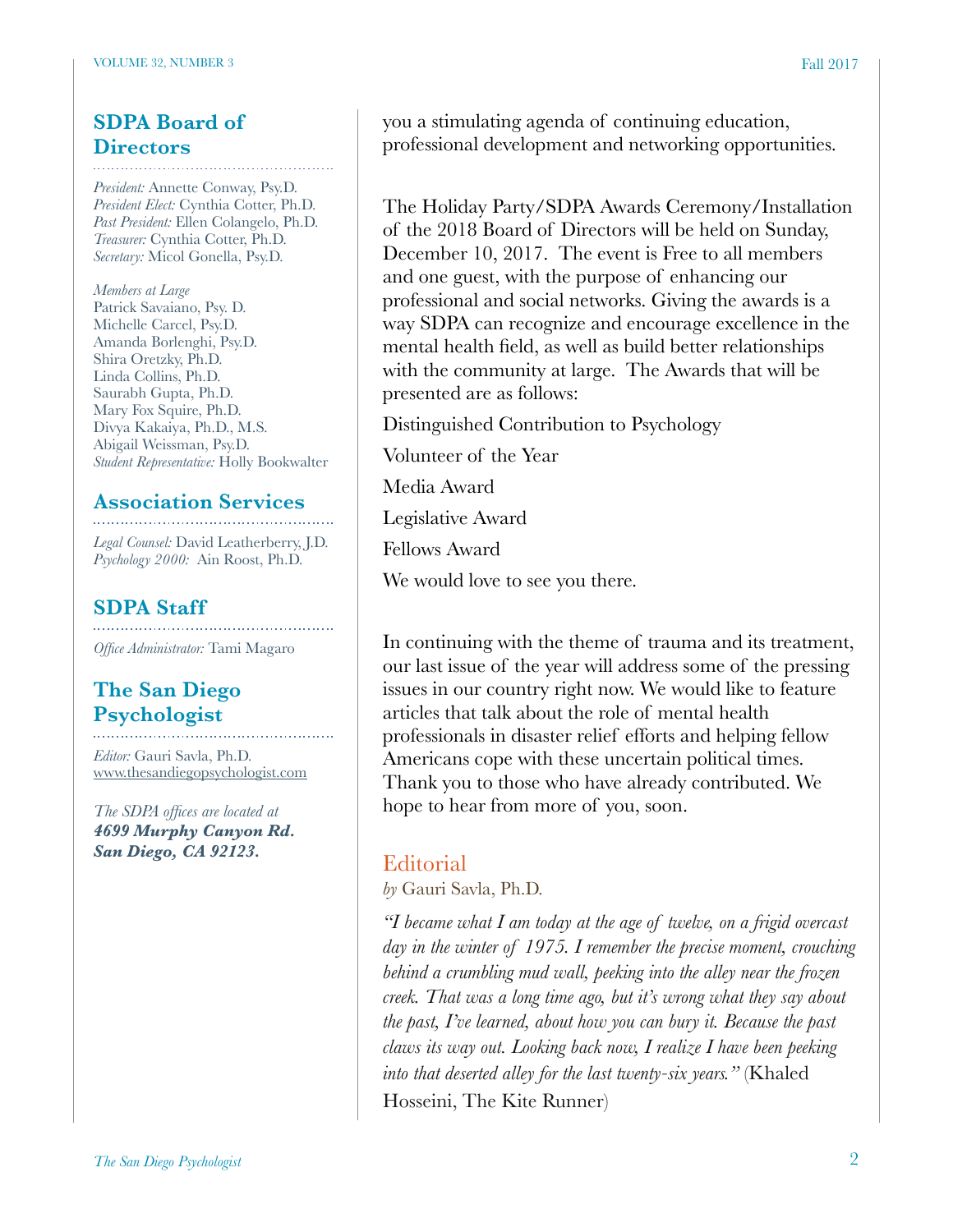# **SDPA Board of Directors**

*President:* Annette Conway, Psy.D. *President Elect:* Cynthia Cotter, Ph.D. *Past President:* Ellen Colangelo, Ph.D. *Treasurer:* Cynthia Cotter, Ph.D. *Secretary:* Micol Gonella, Psy.D.

*Members at Large* Patrick Savaiano, Psy. D. Michelle Carcel, Psy.D. Amanda Borlenghi, Psy.D. Shira Oretzky, Ph.D. Linda Collins, Ph.D. Saurabh Gupta, Ph.D. Mary Fox Squire, Ph.D. Divya Kakaiya, Ph.D., M.S. Abigail Weissman, Psy.D. *Student Representative:* Holly Bookwalter

# **Association Services**

*Legal Counsel:* David Leatherberry, J.D. *Psychology 2000:* Ain Roost, Ph.D.

# **SDPA Staff**

*Office Administrator:* Tami Magaro

# **The San Diego Psychologist**

*Editor:* Gauri Savla, Ph.D. [www.thesandiegopsychologist.com](http://www.thesandiegopsychologist.com)

*The SDPA offices are located at 4699 Murphy Canyon Rd. San Diego, CA 92123.* 

you a stimulating agenda of continuing education, professional development and networking opportunities.

The Holiday Party/SDPA Awards Ceremony/Installation of the 2018 Board of Directors will be held on Sunday, December 10, 2017. The event is Free to all members and one guest, with the purpose of enhancing our professional and social networks. Giving the awards is a way SDPA can recognize and encourage excellence in the mental health field, as well as build better relationships with the community at large. The Awards that will be presented are as follows:

Distinguished Contribution to Psychology

Volunteer of the Year

Media Award

Legislative Award

Fellows Award

We would love to see you there.

In continuing with the theme of trauma and its treatment, our last issue of the year will address some of the pressing issues in our country right now. We would like to feature articles that talk about the role of mental health professionals in disaster relief efforts and helping fellow Americans cope with these uncertain political times. Thank you to those who have already contributed. We hope to hear from more of you, soon.

# **Editorial**

*by* Gauri Savla, Ph.D.

*"I became what I am today at the age of twelve, on a frigid overcast day in the winter of 1975. I remember the precise moment, crouching behind a crumbling mud wall, peeking into the alley near the frozen creek. That was a long time ago, but it's wrong what they say about the past, I've learned, about how you can bury it. Because the past claws its way out. Looking back now, I realize I have been peeking into that deserted alley for the last twenty-six years."* (Khaled Hosseini, The Kite Runner)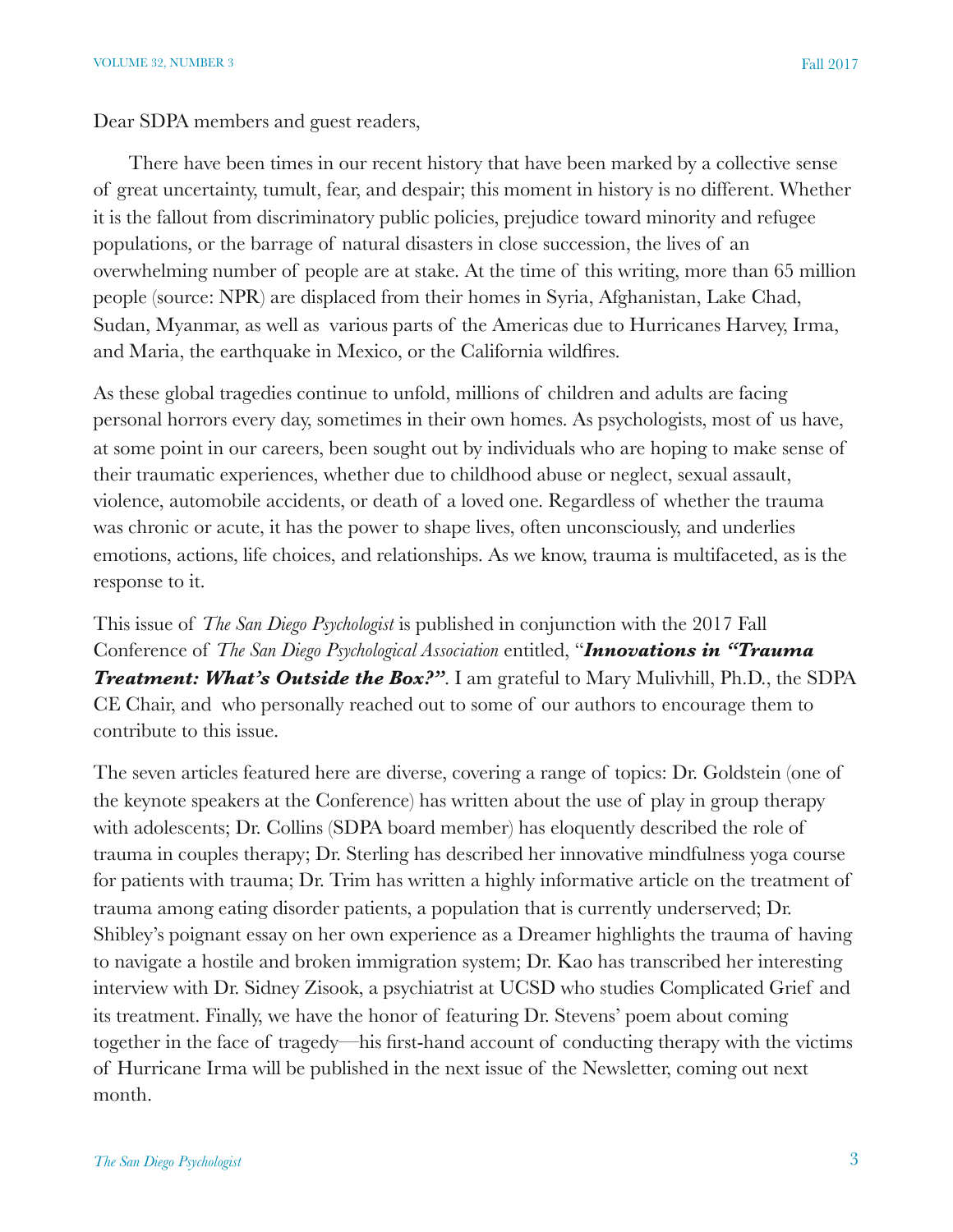There have been times in our recent history that have been marked by a collective sense of great uncertainty, tumult, fear, and despair; this moment in history is no different. Whether it is the fallout from discriminatory public policies, prejudice toward minority and refugee populations, or the barrage of natural disasters in close succession, the lives of an overwhelming number of people are at stake. At the time of this writing, more than 65 million people (source: NPR) are displaced from their homes in Syria, Afghanistan, Lake Chad, Sudan, Myanmar, as well as various parts of the Americas due to Hurricanes Harvey, Irma, and Maria, the earthquake in Mexico, or the California wildfires.

As these global tragedies continue to unfold, millions of children and adults are facing personal horrors every day, sometimes in their own homes. As psychologists, most of us have, at some point in our careers, been sought out by individuals who are hoping to make sense of their traumatic experiences, whether due to childhood abuse or neglect, sexual assault, violence, automobile accidents, or death of a loved one. Regardless of whether the trauma was chronic or acute, it has the power to shape lives, often unconsciously, and underlies emotions, actions, life choices, and relationships. As we know, trauma is multifaceted, as is the response to it.

This issue of *The San Diego Psychologist* is published in conjunction with the 2017 Fall Conference of *The San Diego Psychological Association* entitled, "*Innovations in "Trauma Treatment: What's Outside the Box?".* I am grateful to Mary Mulivhill, Ph.D., the SDPA CE Chair, and who personally reached out to some of our authors to encourage them to contribute to this issue.

The seven articles featured here are diverse, covering a range of topics: Dr. Goldstein (one of the keynote speakers at the Conference) has written about the use of play in group therapy with adolescents; Dr. Collins (SDPA board member) has eloquently described the role of trauma in couples therapy; Dr. Sterling has described her innovative mindfulness yoga course for patients with trauma; Dr. Trim has written a highly informative article on the treatment of trauma among eating disorder patients, a population that is currently underserved; Dr. Shibley's poignant essay on her own experience as a Dreamer highlights the trauma of having to navigate a hostile and broken immigration system; Dr. Kao has transcribed her interesting interview with Dr. Sidney Zisook, a psychiatrist at UCSD who studies Complicated Grief and its treatment. Finally, we have the honor of featuring Dr. Stevens' poem about coming together in the face of tragedy—his first-hand account of conducting therapy with the victims of Hurricane Irma will be published in the next issue of the Newsletter, coming out next month.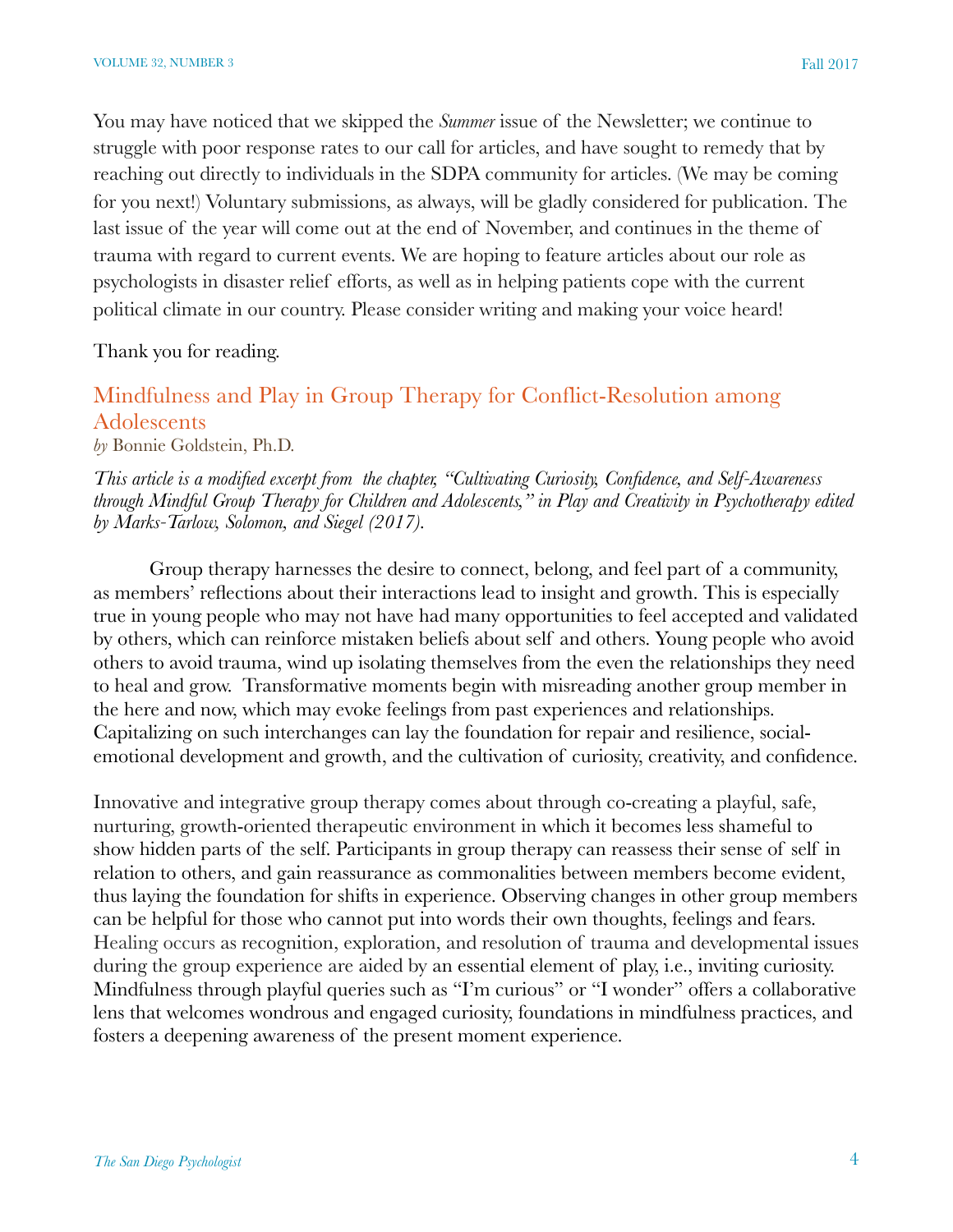You may have noticed that we skipped the *Summer* issue of the Newsletter; we continue to struggle with poor response rates to our call for articles, and have sought to remedy that by reaching out directly to individuals in the SDPA community for articles. (We may be coming for you next!) Voluntary submissions, as always, will be gladly considered for publication. The last issue of the year will come out at the end of November, and continues in the theme of trauma with regard to current events. We are hoping to feature articles about our role as psychologists in disaster relief efforts, as well as in helping patients cope with the current political climate in our country. Please consider writing and making your voice heard!

Thank you for reading.

# Mindfulness and Play in Group Therapy for Conflict-Resolution among Adolescents

*by* Bonnie Goldstein, Ph.D.

*This article is a modified excerpt from the chapter, "Cultivating Curiosity, Confidence, and Self-Awareness through Mindful Group Therapy for Children and Adolescents," in Play and Creativity in Psychotherapy edited by Marks-Tarlow, Solomon, and Siegel (2017).*

Group therapy harnesses the desire to connect, belong, and feel part of a community, as members' reflections about their interactions lead to insight and growth. This is especially true in young people who may not have had many opportunities to feel accepted and validated by others, which can reinforce mistaken beliefs about self and others. Young people who avoid others to avoid trauma, wind up isolating themselves from the even the relationships they need to heal and grow. Transformative moments begin with misreading another group member in the here and now, which may evoke feelings from past experiences and relationships. Capitalizing on such interchanges can lay the foundation for repair and resilience, socialemotional development and growth, and the cultivation of curiosity, creativity, and confidence.

Innovative and integrative group therapy comes about through co-creating a playful, safe, nurturing, growth-oriented therapeutic environment in which it becomes less shameful to show hidden parts of the self. Participants in group therapy can reassess their sense of self in relation to others, and gain reassurance as commonalities between members become evident, thus laying the foundation for shifts in experience. Observing changes in other group members can be helpful for those who cannot put into words their own thoughts, feelings and fears. Healing occurs as recognition, exploration, and resolution of trauma and developmental issues during the group experience are aided by an essential element of play, i.e., inviting curiosity. Mindfulness through playful queries such as "I'm curious" or "I wonder" offers a collaborative lens that welcomes wondrous and engaged curiosity, foundations in mindfulness practices, and fosters a deepening awareness of the present moment experience.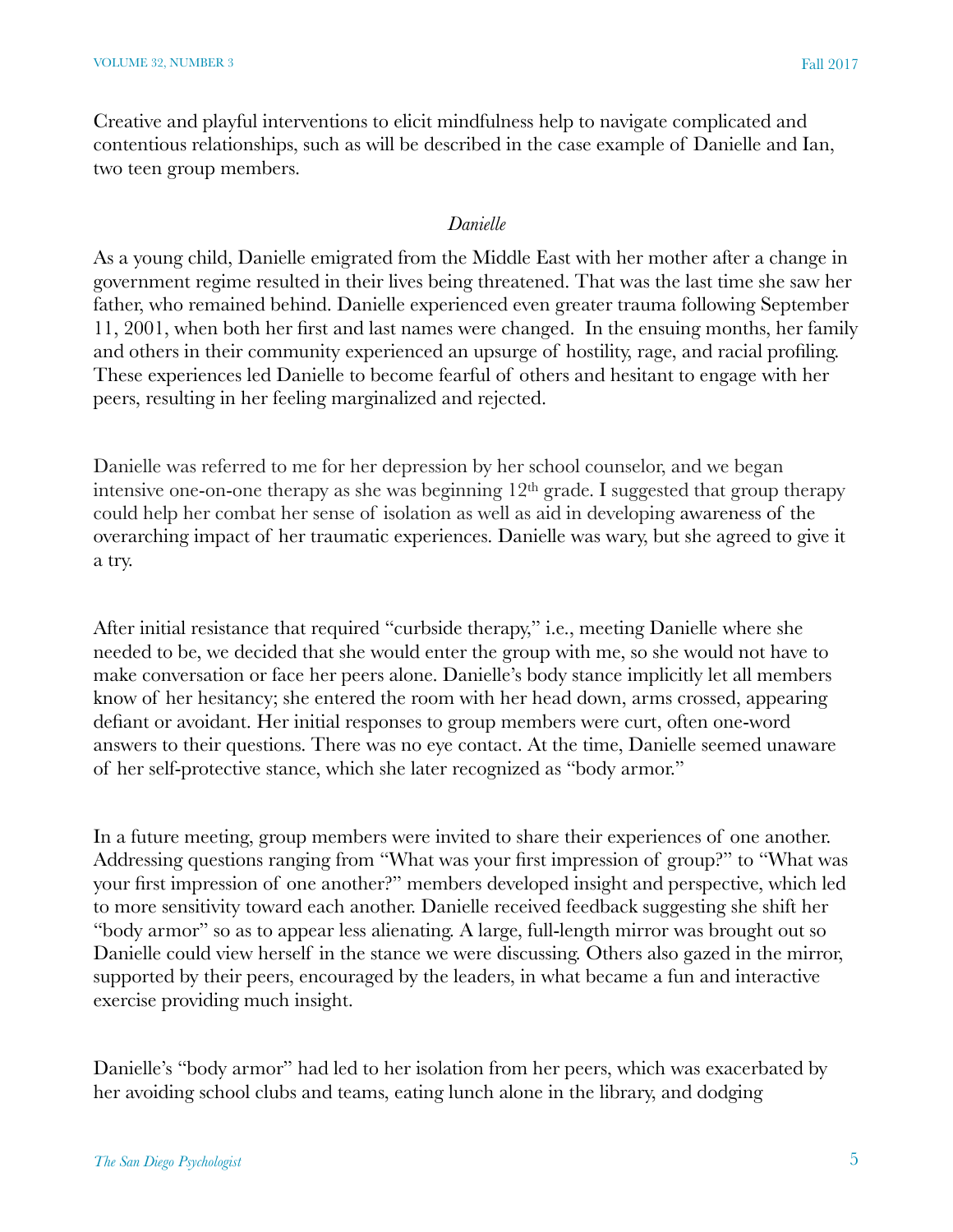Creative and playful interventions to elicit mindfulness help to navigate complicated and contentious relationships, such as will be described in the case example of Danielle and Ian, two teen group members.

#### *Danielle*

As a young child, Danielle emigrated from the Middle East with her mother after a change in government regime resulted in their lives being threatened. That was the last time she saw her father, who remained behind. Danielle experienced even greater trauma following September 11, 2001, when both her first and last names were changed. In the ensuing months, her family and others in their community experienced an upsurge of hostility, rage, and racial profiling. These experiences led Danielle to become fearful of others and hesitant to engage with her peers, resulting in her feeling marginalized and rejected.

Danielle was referred to me for her depression by her school counselor, and we began intensive one-on-one therapy as she was beginning  $12<sup>th</sup>$  grade. I suggested that group therapy could help her combat her sense of isolation as well as aid in developing awareness of the overarching impact of her traumatic experiences. Danielle was wary, but she agreed to give it a try.

After initial resistance that required "curbside therapy," i.e., meeting Danielle where she needed to be, we decided that she would enter the group with me, so she would not have to make conversation or face her peers alone. Danielle's body stance implicitly let all members know of her hesitancy; she entered the room with her head down, arms crossed, appearing defiant or avoidant. Her initial responses to group members were curt, often one-word answers to their questions. There was no eye contact. At the time, Danielle seemed unaware of her self-protective stance, which she later recognized as "body armor."

In a future meeting, group members were invited to share their experiences of one another. Addressing questions ranging from "What was your first impression of group?" to "What was your first impression of one another?" members developed insight and perspective, which led to more sensitivity toward each another. Danielle received feedback suggesting she shift her "body armor" so as to appear less alienating. A large, full-length mirror was brought out so Danielle could view herself in the stance we were discussing. Others also gazed in the mirror, supported by their peers, encouraged by the leaders, in what became a fun and interactive exercise providing much insight.

Danielle's "body armor" had led to her isolation from her peers, which was exacerbated by her avoiding school clubs and teams, eating lunch alone in the library, and dodging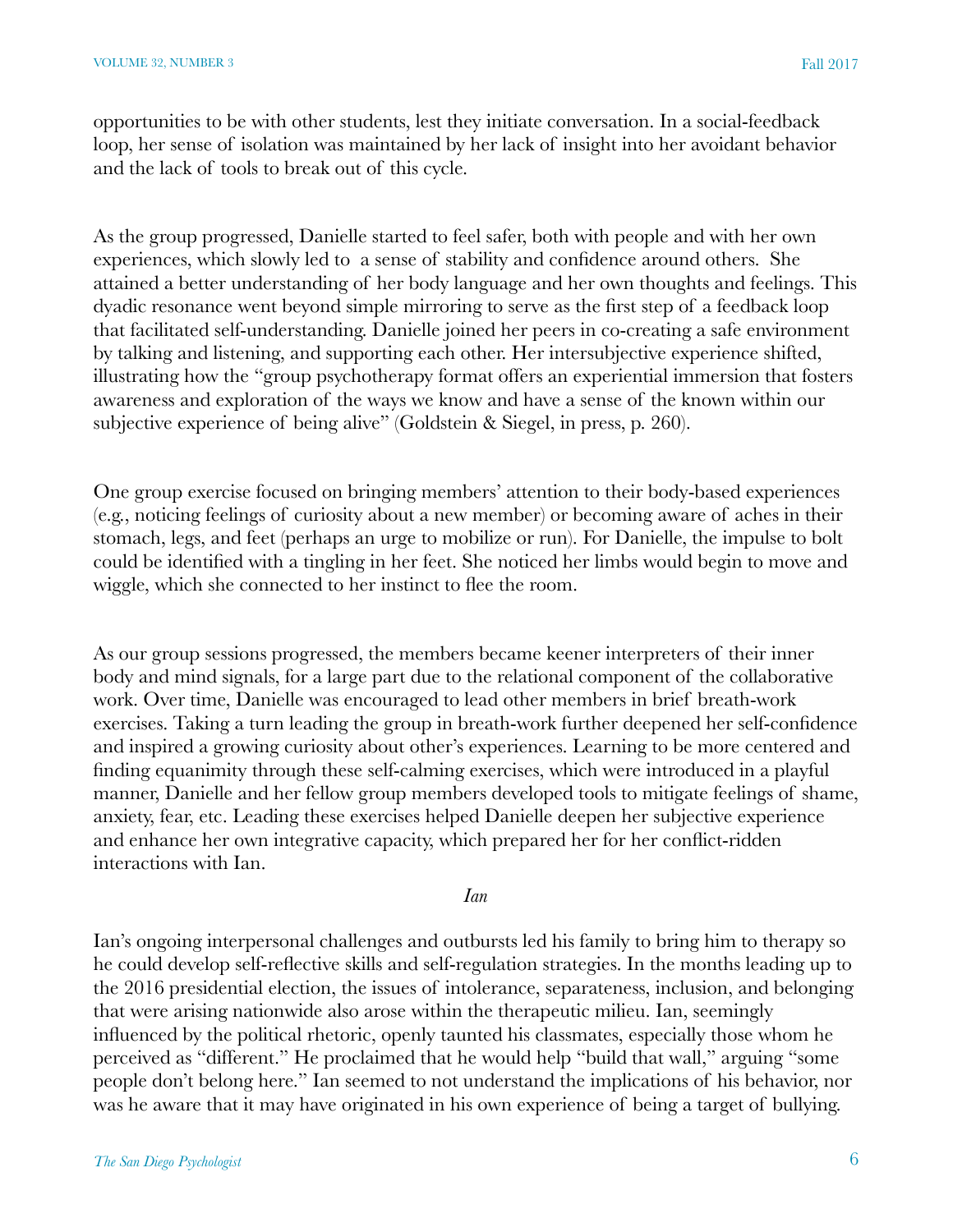opportunities to be with other students, lest they initiate conversation. In a social-feedback loop, her sense of isolation was maintained by her lack of insight into her avoidant behavior and the lack of tools to break out of this cycle.

As the group progressed, Danielle started to feel safer, both with people and with her own experiences, which slowly led to a sense of stability and confidence around others. She attained a better understanding of her body language and her own thoughts and feelings. This dyadic resonance went beyond simple mirroring to serve as the first step of a feedback loop that facilitated self-understanding. Danielle joined her peers in co-creating a safe environment by talking and listening, and supporting each other. Her intersubjective experience shifted, illustrating how the "group psychotherapy format offers an experiential immersion that fosters awareness and exploration of the ways we know and have a sense of the known within our subjective experience of being alive" (Goldstein & Siegel, in press, p. 260).

One group exercise focused on bringing members' attention to their body-based experiences (e.g., noticing feelings of curiosity about a new member) or becoming aware of aches in their stomach, legs, and feet (perhaps an urge to mobilize or run). For Danielle, the impulse to bolt could be identified with a tingling in her feet. She noticed her limbs would begin to move and wiggle, which she connected to her instinct to flee the room.

As our group sessions progressed, the members became keener interpreters of their inner body and mind signals, for a large part due to the relational component of the collaborative work. Over time, Danielle was encouraged to lead other members in brief breath-work exercises. Taking a turn leading the group in breath-work further deepened her self-confidence and inspired a growing curiosity about other's experiences. Learning to be more centered and finding equanimity through these self-calming exercises, which were introduced in a playful manner, Danielle and her fellow group members developed tools to mitigate feelings of shame, anxiety, fear, etc. Leading these exercises helped Danielle deepen her subjective experience and enhance her own integrative capacity, which prepared her for her conflict-ridden interactions with Ian.

*Ian*

Ian's ongoing interpersonal challenges and outbursts led his family to bring him to therapy so he could develop self-reflective skills and self-regulation strategies. In the months leading up to the 2016 presidential election, the issues of intolerance, separateness, inclusion, and belonging that were arising nationwide also arose within the therapeutic milieu. Ian, seemingly influenced by the political rhetoric, openly taunted his classmates, especially those whom he perceived as "different." He proclaimed that he would help "build that wall," arguing "some people don't belong here." Ian seemed to not understand the implications of his behavior, nor was he aware that it may have originated in his own experience of being a target of bullying.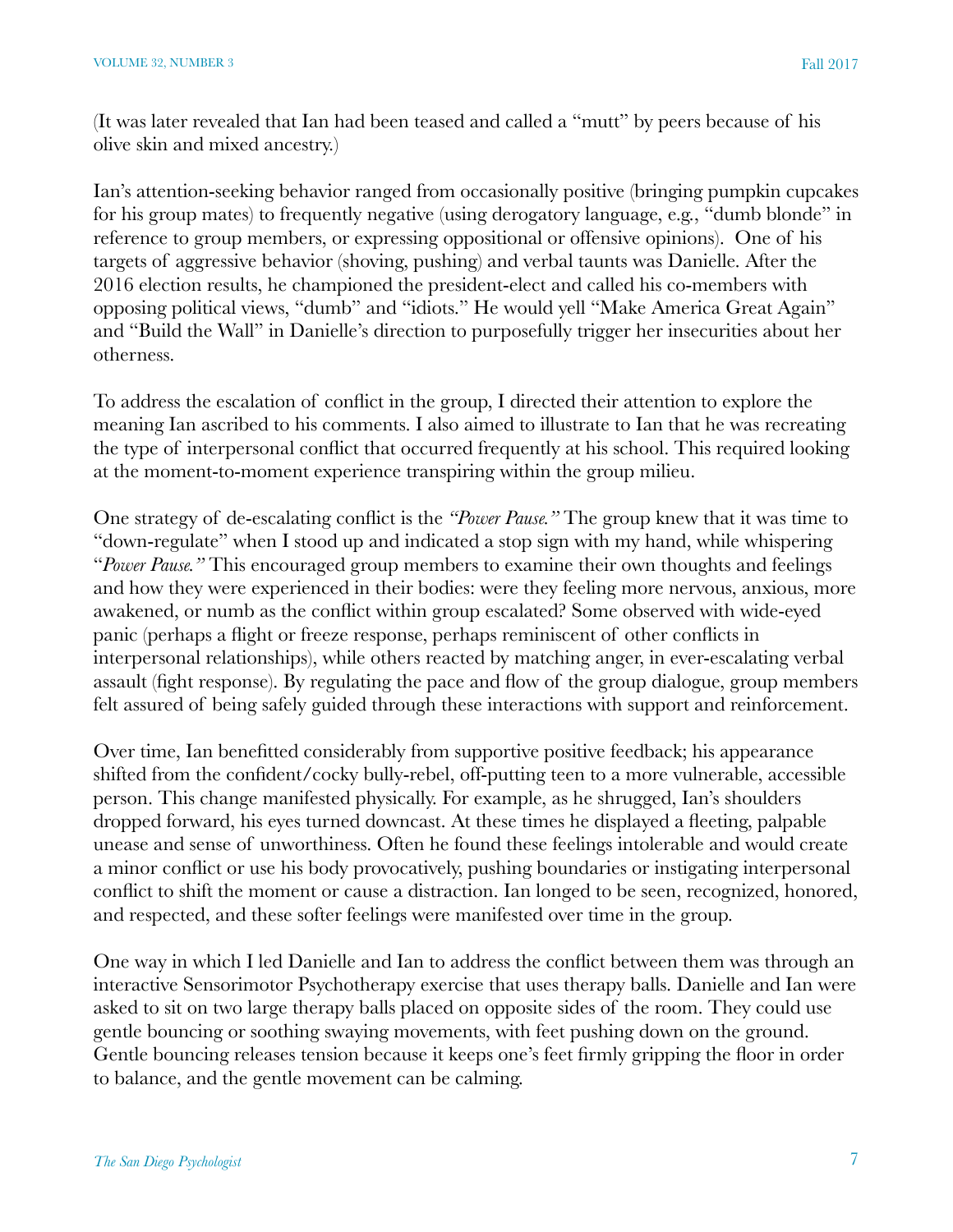(It was later revealed that Ian had been teased and called a "mutt" by peers because of his olive skin and mixed ancestry.)

Ian's attention-seeking behavior ranged from occasionally positive (bringing pumpkin cupcakes for his group mates) to frequently negative (using derogatory language, e.g., "dumb blonde" in reference to group members, or expressing oppositional or offensive opinions). One of his targets of aggressive behavior (shoving, pushing) and verbal taunts was Danielle. After the 2016 election results, he championed the president-elect and called his co-members with opposing political views, "dumb" and "idiots." He would yell "Make America Great Again" and "Build the Wall" in Danielle's direction to purposefully trigger her insecurities about her otherness.

To address the escalation of conflict in the group, I directed their attention to explore the meaning Ian ascribed to his comments. I also aimed to illustrate to Ian that he was recreating the type of interpersonal conflict that occurred frequently at his school. This required looking at the moment-to-moment experience transpiring within the group milieu.

One strategy of de-escalating conflict is the *"Power Pause."* The group knew that it was time to "down-regulate" when I stood up and indicated a stop sign with my hand, while whispering "*Power Pause."* This encouraged group members to examine their own thoughts and feelings and how they were experienced in their bodies: were they feeling more nervous, anxious, more awakened, or numb as the conflict within group escalated? Some observed with wide-eyed panic (perhaps a flight or freeze response, perhaps reminiscent of other conflicts in interpersonal relationships), while others reacted by matching anger, in ever-escalating verbal assault (fight response). By regulating the pace and flow of the group dialogue, group members felt assured of being safely guided through these interactions with support and reinforcement.

Over time, Ian benefitted considerably from supportive positive feedback; his appearance shifted from the confident/cocky bully-rebel, off-putting teen to a more vulnerable, accessible person. This change manifested physically. For example, as he shrugged, Ian's shoulders dropped forward, his eyes turned downcast. At these times he displayed a fleeting, palpable unease and sense of unworthiness. Often he found these feelings intolerable and would create a minor conflict or use his body provocatively, pushing boundaries or instigating interpersonal conflict to shift the moment or cause a distraction. Ian longed to be seen, recognized, honored, and respected, and these softer feelings were manifested over time in the group.

One way in which I led Danielle and Ian to address the conflict between them was through an interactive Sensorimotor Psychotherapy exercise that uses therapy balls. Danielle and Ian were asked to sit on two large therapy balls placed on opposite sides of the room. They could use gentle bouncing or soothing swaying movements, with feet pushing down on the ground. Gentle bouncing releases tension because it keeps one's feet firmly gripping the floor in order to balance, and the gentle movement can be calming.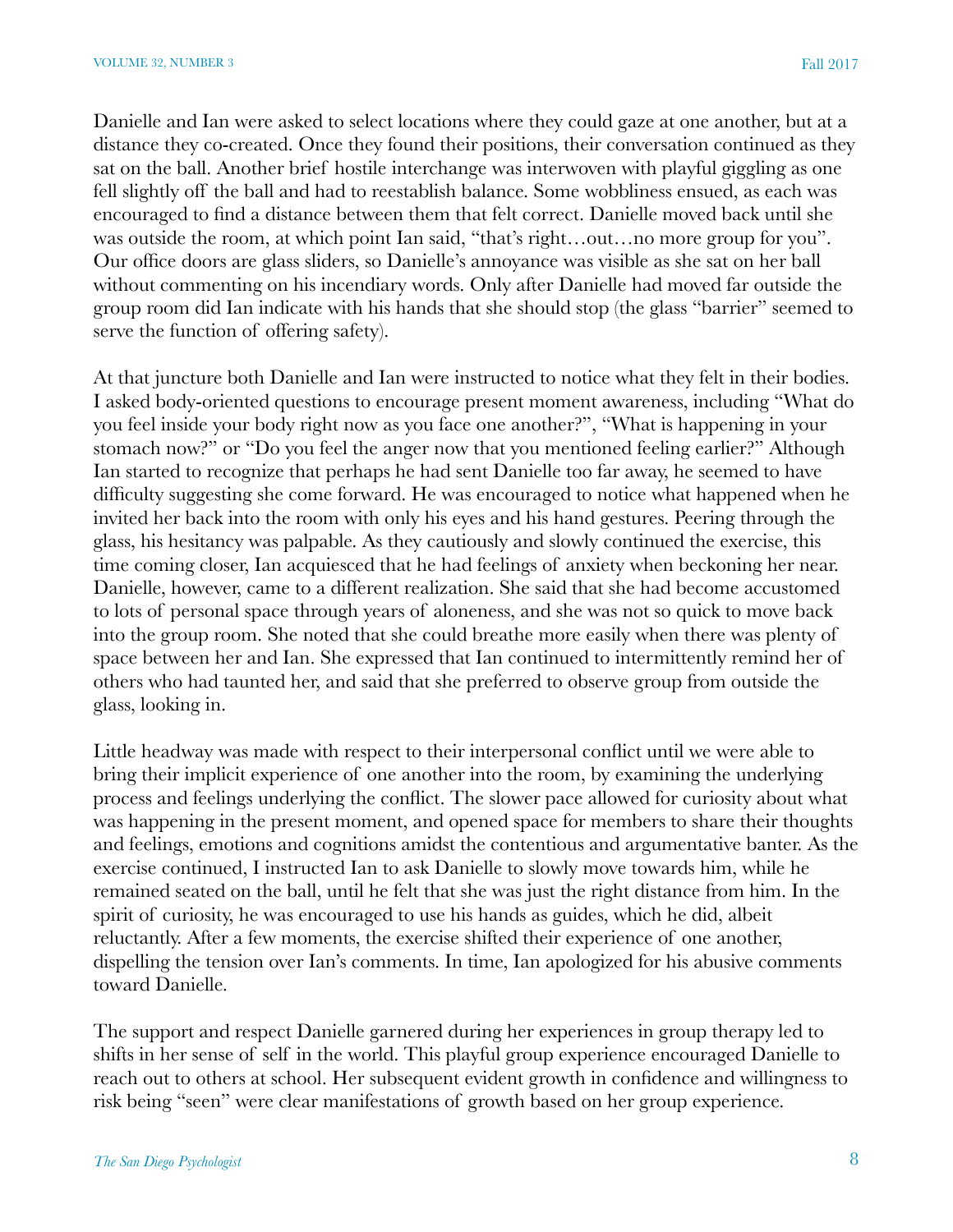Danielle and Ian were asked to select locations where they could gaze at one another, but at a distance they co-created. Once they found their positions, their conversation continued as they sat on the ball. Another brief hostile interchange was interwoven with playful giggling as one fell slightly off the ball and had to reestablish balance. Some wobbliness ensued, as each was encouraged to find a distance between them that felt correct. Danielle moved back until she was outside the room, at which point Ian said, "that's right...out...no more group for you". Our office doors are glass sliders, so Danielle's annoyance was visible as she sat on her ball without commenting on his incendiary words. Only after Danielle had moved far outside the group room did Ian indicate with his hands that she should stop (the glass "barrier" seemed to serve the function of offering safety).

At that juncture both Danielle and Ian were instructed to notice what they felt in their bodies. I asked body-oriented questions to encourage present moment awareness, including "What do you feel inside your body right now as you face one another?", "What is happening in your stomach now?" or "Do you feel the anger now that you mentioned feeling earlier?" Although Ian started to recognize that perhaps he had sent Danielle too far away, he seemed to have difficulty suggesting she come forward. He was encouraged to notice what happened when he invited her back into the room with only his eyes and his hand gestures. Peering through the glass, his hesitancy was palpable. As they cautiously and slowly continued the exercise, this time coming closer, Ian acquiesced that he had feelings of anxiety when beckoning her near. Danielle, however, came to a different realization. She said that she had become accustomed to lots of personal space through years of aloneness, and she was not so quick to move back into the group room. She noted that she could breathe more easily when there was plenty of space between her and Ian. She expressed that Ian continued to intermittently remind her of others who had taunted her, and said that she preferred to observe group from outside the glass, looking in.

Little headway was made with respect to their interpersonal conflict until we were able to bring their implicit experience of one another into the room, by examining the underlying process and feelings underlying the conflict. The slower pace allowed for curiosity about what was happening in the present moment, and opened space for members to share their thoughts and feelings, emotions and cognitions amidst the contentious and argumentative banter. As the exercise continued, I instructed Ian to ask Danielle to slowly move towards him, while he remained seated on the ball, until he felt that she was just the right distance from him. In the spirit of curiosity, he was encouraged to use his hands as guides, which he did, albeit reluctantly. After a few moments, the exercise shifted their experience of one another, dispelling the tension over Ian's comments. In time, Ian apologized for his abusive comments toward Danielle.

The support and respect Danielle garnered during her experiences in group therapy led to shifts in her sense of self in the world. This playful group experience encouraged Danielle to reach out to others at school. Her subsequent evident growth in confidence and willingness to risk being "seen" were clear manifestations of growth based on her group experience.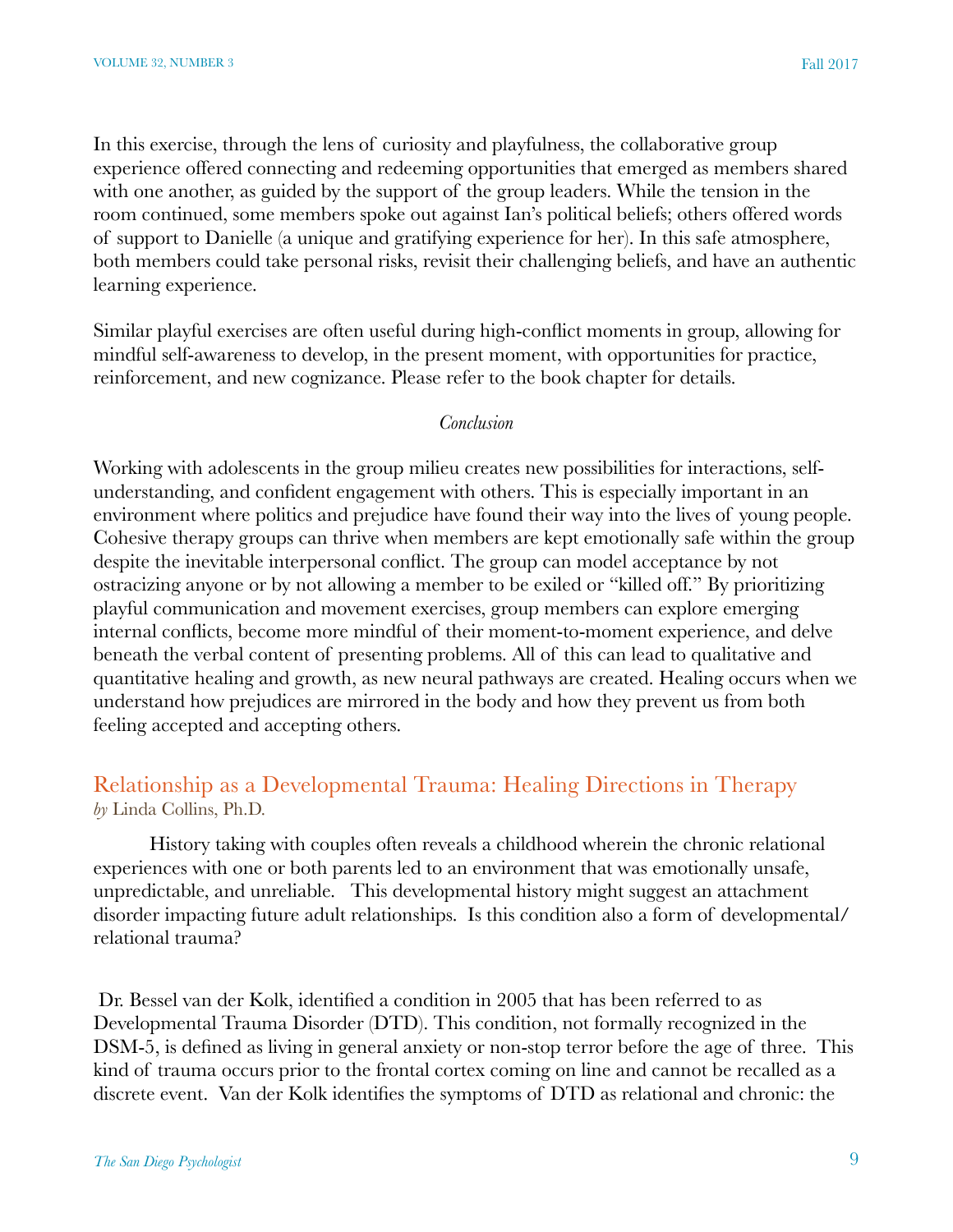In this exercise, through the lens of curiosity and playfulness, the collaborative group experience offered connecting and redeeming opportunities that emerged as members shared with one another, as guided by the support of the group leaders. While the tension in the room continued, some members spoke out against Ian's political beliefs; others offered words of support to Danielle (a unique and gratifying experience for her). In this safe atmosphere, both members could take personal risks, revisit their challenging beliefs, and have an authentic learning experience.

Similar playful exercises are often useful during high-conflict moments in group, allowing for mindful self-awareness to develop, in the present moment, with opportunities for practice, reinforcement, and new cognizance. Please refer to the book chapter for details.

#### *Conclusion*

Working with adolescents in the group milieu creates new possibilities for interactions, selfunderstanding, and confident engagement with others. This is especially important in an environment where politics and prejudice have found their way into the lives of young people. Cohesive therapy groups can thrive when members are kept emotionally safe within the group despite the inevitable interpersonal conflict. The group can model acceptance by not ostracizing anyone or by not allowing a member to be exiled or "killed off." By prioritizing playful communication and movement exercises, group members can explore emerging internal conflicts, become more mindful of their moment-to-moment experience, and delve beneath the verbal content of presenting problems. All of this can lead to qualitative and quantitative healing and growth, as new neural pathways are created. Healing occurs when we understand how prejudices are mirrored in the body and how they prevent us from both feeling accepted and accepting others.

## Relationship as a Developmental Trauma: Healing Directions in Therapy *by* Linda Collins, Ph.D.

History taking with couples often reveals a childhood wherein the chronic relational experiences with one or both parents led to an environment that was emotionally unsafe, unpredictable, and unreliable. This developmental history might suggest an attachment disorder impacting future adult relationships. Is this condition also a form of developmental/ relational trauma?

 Dr. Bessel van der Kolk, identified a condition in 2005 that has been referred to as Developmental Trauma Disorder (DTD). This condition, not formally recognized in the DSM-5, is defined as living in general anxiety or non-stop terror before the age of three. This kind of trauma occurs prior to the frontal cortex coming on line and cannot be recalled as a discrete event. Van der Kolk identifies the symptoms of DTD as relational and chronic: the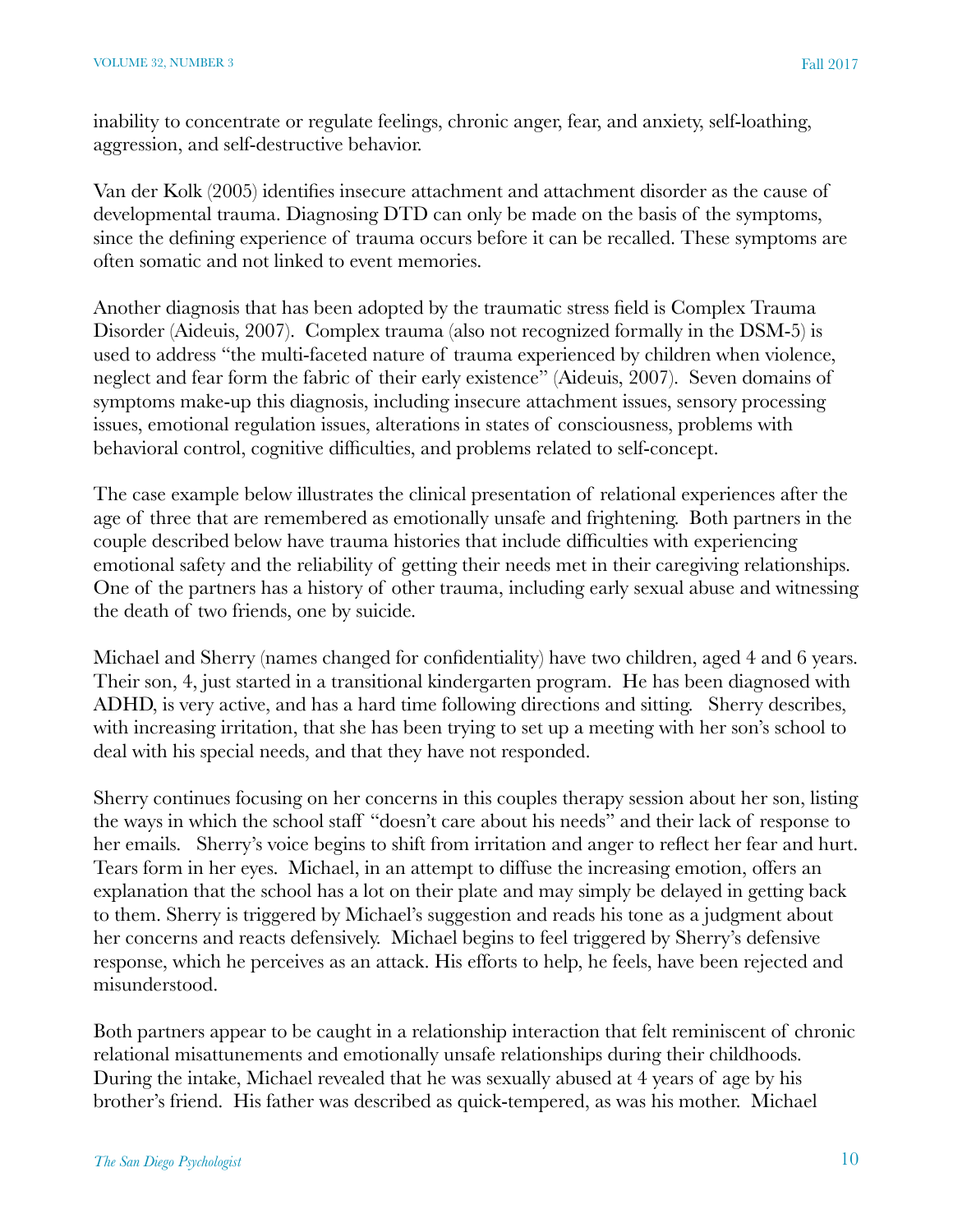inability to concentrate or regulate feelings, chronic anger, fear, and anxiety, self-loathing, aggression, and self-destructive behavior.

Van der Kolk (2005) identifies insecure attachment and attachment disorder as the cause of developmental trauma. Diagnosing DTD can only be made on the basis of the symptoms, since the defining experience of trauma occurs before it can be recalled. These symptoms are often somatic and not linked to event memories.

Another diagnosis that has been adopted by the traumatic stress field is Complex Trauma Disorder (Aideuis, 2007). Complex trauma (also not recognized formally in the DSM-5) is used to address "the multi-faceted nature of trauma experienced by children when violence, neglect and fear form the fabric of their early existence" (Aideuis, 2007). Seven domains of symptoms make-up this diagnosis, including insecure attachment issues, sensory processing issues, emotional regulation issues, alterations in states of consciousness, problems with behavioral control, cognitive difficulties, and problems related to self-concept.

The case example below illustrates the clinical presentation of relational experiences after the age of three that are remembered as emotionally unsafe and frightening. Both partners in the couple described below have trauma histories that include difficulties with experiencing emotional safety and the reliability of getting their needs met in their caregiving relationships. One of the partners has a history of other trauma, including early sexual abuse and witnessing the death of two friends, one by suicide.

Michael and Sherry (names changed for confidentiality) have two children, aged 4 and 6 years. Their son, 4, just started in a transitional kindergarten program. He has been diagnosed with ADHD, is very active, and has a hard time following directions and sitting. Sherry describes, with increasing irritation, that she has been trying to set up a meeting with her son's school to deal with his special needs, and that they have not responded.

Sherry continues focusing on her concerns in this couples therapy session about her son, listing the ways in which the school staff "doesn't care about his needs" and their lack of response to her emails. Sherry's voice begins to shift from irritation and anger to reflect her fear and hurt. Tears form in her eyes. Michael, in an attempt to diffuse the increasing emotion, offers an explanation that the school has a lot on their plate and may simply be delayed in getting back to them. Sherry is triggered by Michael's suggestion and reads his tone as a judgment about her concerns and reacts defensively. Michael begins to feel triggered by Sherry's defensive response, which he perceives as an attack. His efforts to help, he feels, have been rejected and misunderstood.

Both partners appear to be caught in a relationship interaction that felt reminiscent of chronic relational misattunements and emotionally unsafe relationships during their childhoods. During the intake, Michael revealed that he was sexually abused at 4 years of age by his brother's friend. His father was described as quick-tempered, as was his mother. Michael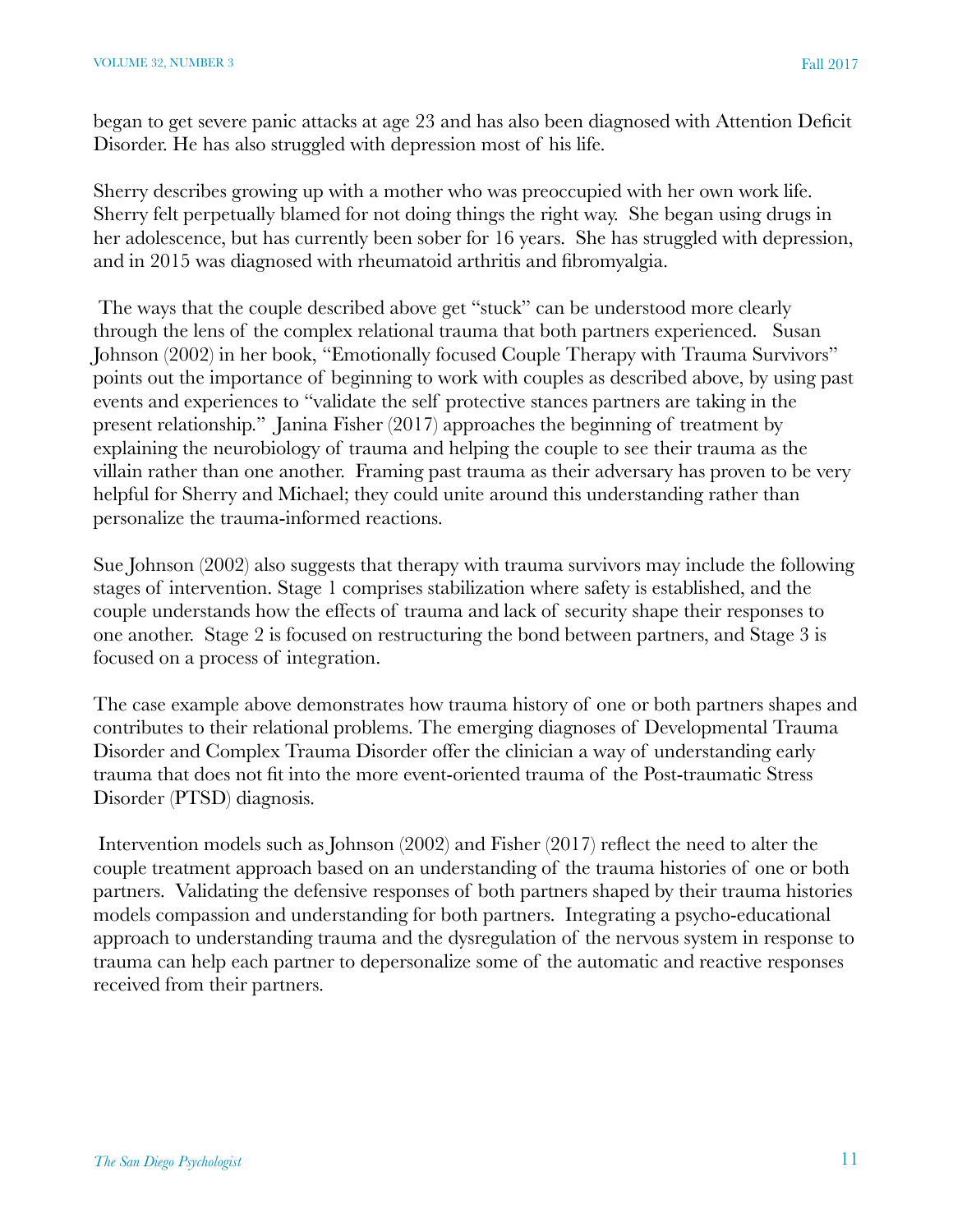began to get severe panic attacks at age 23 and has also been diagnosed with Attention Deficit Disorder. He has also struggled with depression most of his life.

Sherry describes growing up with a mother who was preoccupied with her own work life. Sherry felt perpetually blamed for not doing things the right way. She began using drugs in her adolescence, but has currently been sober for 16 years. She has struggled with depression, and in 2015 was diagnosed with rheumatoid arthritis and fibromyalgia.

 The ways that the couple described above get "stuck" can be understood more clearly through the lens of the complex relational trauma that both partners experienced. Susan Johnson (2002) in her book, "Emotionally focused Couple Therapy with Trauma Survivors" points out the importance of beginning to work with couples as described above, by using past events and experiences to "validate the self protective stances partners are taking in the present relationship." Janina Fisher (2017) approaches the beginning of treatment by explaining the neurobiology of trauma and helping the couple to see their trauma as the villain rather than one another. Framing past trauma as their adversary has proven to be very helpful for Sherry and Michael; they could unite around this understanding rather than personalize the trauma-informed reactions.

Sue Johnson (2002) also suggests that therapy with trauma survivors may include the following stages of intervention. Stage 1 comprises stabilization where safety is established, and the couple understands how the effects of trauma and lack of security shape their responses to one another. Stage 2 is focused on restructuring the bond between partners, and Stage 3 is focused on a process of integration.

The case example above demonstrates how trauma history of one or both partners shapes and contributes to their relational problems. The emerging diagnoses of Developmental Trauma Disorder and Complex Trauma Disorder offer the clinician a way of understanding early trauma that does not fit into the more event-oriented trauma of the Post-traumatic Stress Disorder (PTSD) diagnosis.

 Intervention models such as Johnson (2002) and Fisher (2017) reflect the need to alter the couple treatment approach based on an understanding of the trauma histories of one or both partners. Validating the defensive responses of both partners shaped by their trauma histories models compassion and understanding for both partners. Integrating a psycho-educational approach to understanding trauma and the dysregulation of the nervous system in response to trauma can help each partner to depersonalize some of the automatic and reactive responses received from their partners.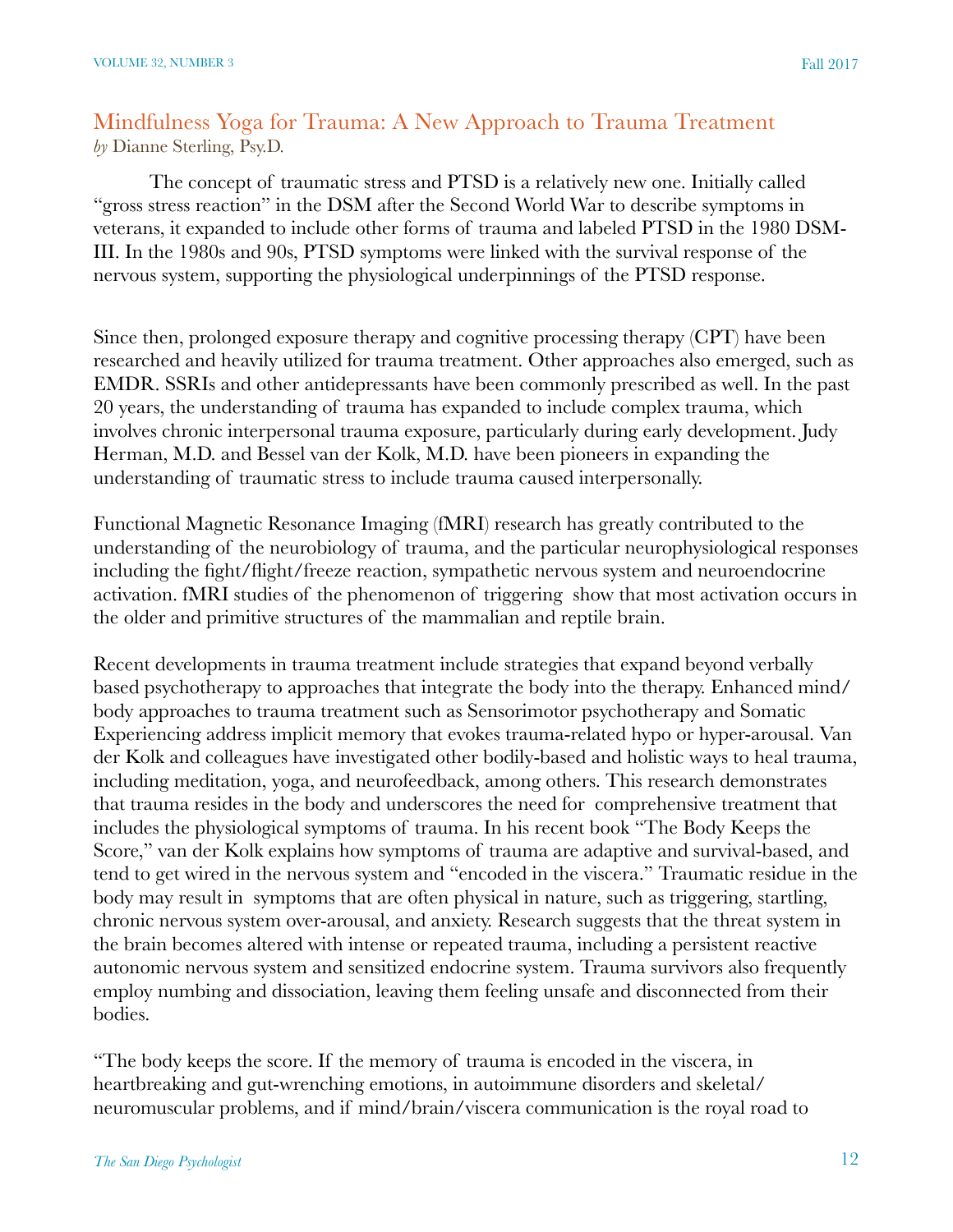# Mindfulness Yoga for Trauma: A New Approach to Trauma Treatment *by* Dianne Sterling, Psy.D.

The concept of traumatic stress and PTSD is a relatively new one. Initially called "gross stress reaction" in the DSM after the Second World War to describe symptoms in veterans, it expanded to include other forms of trauma and labeled PTSD in the 1980 DSM-III. In the 1980s and 90s, PTSD symptoms were linked with the survival response of the nervous system, supporting the physiological underpinnings of the PTSD response.

Since then, prolonged exposure therapy and cognitive processing therapy (CPT) have been researched and heavily utilized for trauma treatment. Other approaches also emerged, such as EMDR. SSRIs and other antidepressants have been commonly prescribed as well. In the past 20 years, the understanding of trauma has expanded to include complex trauma, which involves chronic interpersonal trauma exposure, particularly during early development. Judy Herman, M.D. and Bessel van der Kolk, M.D. have been pioneers in expanding the understanding of traumatic stress to include trauma caused interpersonally.

Functional Magnetic Resonance Imaging (fMRI) research has greatly contributed to the understanding of the neurobiology of trauma, and the particular neurophysiological responses including the fight/flight/freeze reaction, sympathetic nervous system and neuroendocrine activation. fMRI studies of the phenomenon of triggering show that most activation occurs in the older and primitive structures of the mammalian and reptile brain.

Recent developments in trauma treatment include strategies that expand beyond verbally based psychotherapy to approaches that integrate the body into the therapy. Enhanced mind/ body approaches to trauma treatment such as Sensorimotor psychotherapy and Somatic Experiencing address implicit memory that evokes trauma-related hypo or hyper-arousal. Van der Kolk and colleagues have investigated other bodily-based and holistic ways to heal trauma, including meditation, yoga, and neurofeedback, among others. This research demonstrates that trauma resides in the body and underscores the need for comprehensive treatment that includes the physiological symptoms of trauma. In his recent book "The Body Keeps the Score," van der Kolk explains how symptoms of trauma are adaptive and survival-based, and tend to get wired in the nervous system and "encoded in the viscera." Traumatic residue in the body may result in symptoms that are often physical in nature, such as triggering, startling, chronic nervous system over-arousal, and anxiety. Research suggests that the threat system in the brain becomes altered with intense or repeated trauma, including a persistent reactive autonomic nervous system and sensitized endocrine system. Trauma survivors also frequently employ numbing and dissociation, leaving them feeling unsafe and disconnected from their bodies.

"The body keeps the score. If the memory of trauma is encoded in the viscera, in heartbreaking and gut-wrenching emotions, in autoimmune disorders and skeletal/ neuromuscular problems, and if mind/brain/viscera communication is the royal road to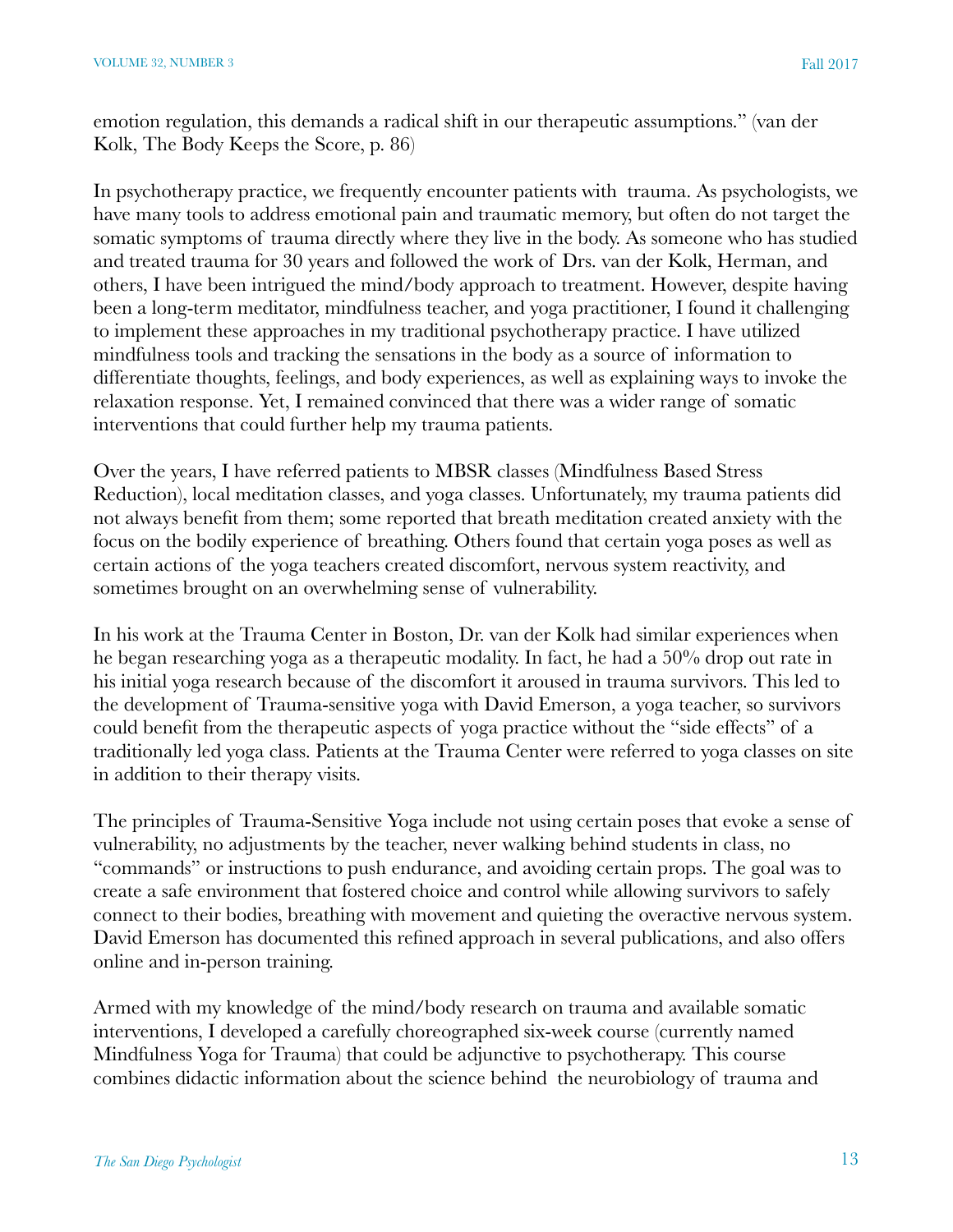emotion regulation, this demands a radical shift in our therapeutic assumptions." (van der Kolk, The Body Keeps the Score, p. 86)

In psychotherapy practice, we frequently encounter patients with trauma. As psychologists, we have many tools to address emotional pain and traumatic memory, but often do not target the somatic symptoms of trauma directly where they live in the body. As someone who has studied and treated trauma for 30 years and followed the work of Drs. van der Kolk, Herman, and others, I have been intrigued the mind/body approach to treatment. However, despite having been a long-term meditator, mindfulness teacher, and yoga practitioner, I found it challenging to implement these approaches in my traditional psychotherapy practice. I have utilized mindfulness tools and tracking the sensations in the body as a source of information to differentiate thoughts, feelings, and body experiences, as well as explaining ways to invoke the relaxation response. Yet, I remained convinced that there was a wider range of somatic interventions that could further help my trauma patients.

Over the years, I have referred patients to MBSR classes (Mindfulness Based Stress Reduction), local meditation classes, and yoga classes. Unfortunately, my trauma patients did not always benefit from them; some reported that breath meditation created anxiety with the focus on the bodily experience of breathing. Others found that certain yoga poses as well as certain actions of the yoga teachers created discomfort, nervous system reactivity, and sometimes brought on an overwhelming sense of vulnerability.

In his work at the Trauma Center in Boston, Dr. van der Kolk had similar experiences when he began researching yoga as a therapeutic modality. In fact, he had a 50% drop out rate in his initial yoga research because of the discomfort it aroused in trauma survivors. This led to the development of Trauma-sensitive yoga with David Emerson, a yoga teacher, so survivors could benefit from the therapeutic aspects of yoga practice without the "side effects" of a traditionally led yoga class. Patients at the Trauma Center were referred to yoga classes on site in addition to their therapy visits.

The principles of Trauma-Sensitive Yoga include not using certain poses that evoke a sense of vulnerability, no adjustments by the teacher, never walking behind students in class, no "commands" or instructions to push endurance, and avoiding certain props. The goal was to create a safe environment that fostered choice and control while allowing survivors to safely connect to their bodies, breathing with movement and quieting the overactive nervous system. David Emerson has documented this refined approach in several publications, and also offers online and in-person training.

Armed with my knowledge of the mind/body research on trauma and available somatic interventions, I developed a carefully choreographed six-week course (currently named Mindfulness Yoga for Trauma) that could be adjunctive to psychotherapy. This course combines didactic information about the science behind the neurobiology of trauma and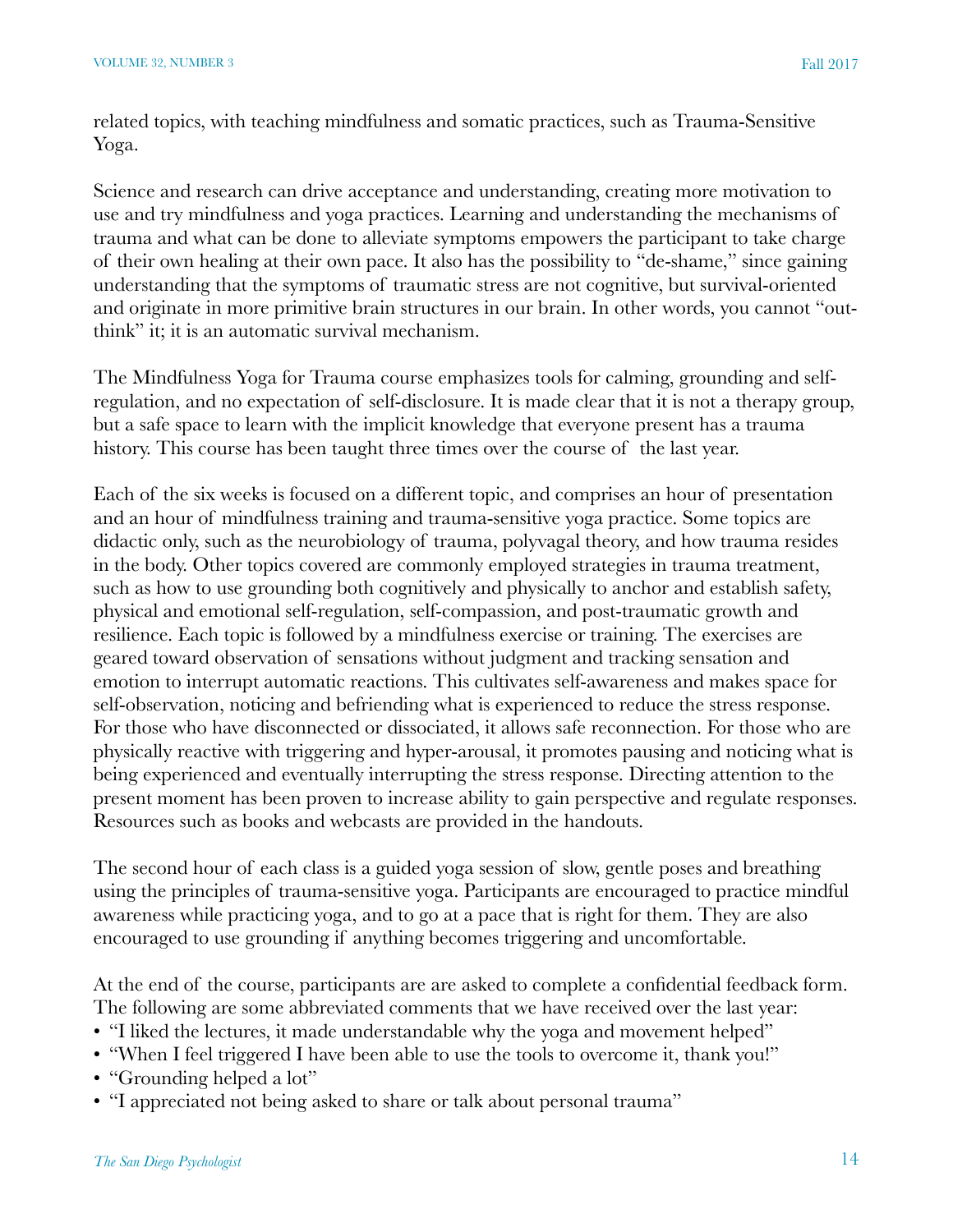related topics, with teaching mindfulness and somatic practices, such as Trauma-Sensitive Yoga.

Science and research can drive acceptance and understanding, creating more motivation to use and try mindfulness and yoga practices. Learning and understanding the mechanisms of trauma and what can be done to alleviate symptoms empowers the participant to take charge of their own healing at their own pace. It also has the possibility to "de-shame," since gaining understanding that the symptoms of traumatic stress are not cognitive, but survival-oriented and originate in more primitive brain structures in our brain. In other words, you cannot "outthink" it; it is an automatic survival mechanism.

The Mindfulness Yoga for Trauma course emphasizes tools for calming, grounding and selfregulation, and no expectation of self-disclosure. It is made clear that it is not a therapy group, but a safe space to learn with the implicit knowledge that everyone present has a trauma history. This course has been taught three times over the course of the last year.

Each of the six weeks is focused on a different topic, and comprises an hour of presentation and an hour of mindfulness training and trauma-sensitive yoga practice. Some topics are didactic only, such as the neurobiology of trauma, polyvagal theory, and how trauma resides in the body. Other topics covered are commonly employed strategies in trauma treatment, such as how to use grounding both cognitively and physically to anchor and establish safety, physical and emotional self-regulation, self-compassion, and post-traumatic growth and resilience. Each topic is followed by a mindfulness exercise or training. The exercises are geared toward observation of sensations without judgment and tracking sensation and emotion to interrupt automatic reactions. This cultivates self-awareness and makes space for self-observation, noticing and befriending what is experienced to reduce the stress response. For those who have disconnected or dissociated, it allows safe reconnection. For those who are physically reactive with triggering and hyper-arousal, it promotes pausing and noticing what is being experienced and eventually interrupting the stress response. Directing attention to the present moment has been proven to increase ability to gain perspective and regulate responses. Resources such as books and webcasts are provided in the handouts.

The second hour of each class is a guided yoga session of slow, gentle poses and breathing using the principles of trauma-sensitive yoga. Participants are encouraged to practice mindful awareness while practicing yoga, and to go at a pace that is right for them. They are also encouraged to use grounding if anything becomes triggering and uncomfortable.

At the end of the course, participants are are asked to complete a confidential feedback form. The following are some abbreviated comments that we have received over the last year:

- "I liked the lectures, it made understandable why the yoga and movement helped"
- "When I feel triggered I have been able to use the tools to overcome it, thank you!"
- "Grounding helped a lot"
- "I appreciated not being asked to share or talk about personal trauma"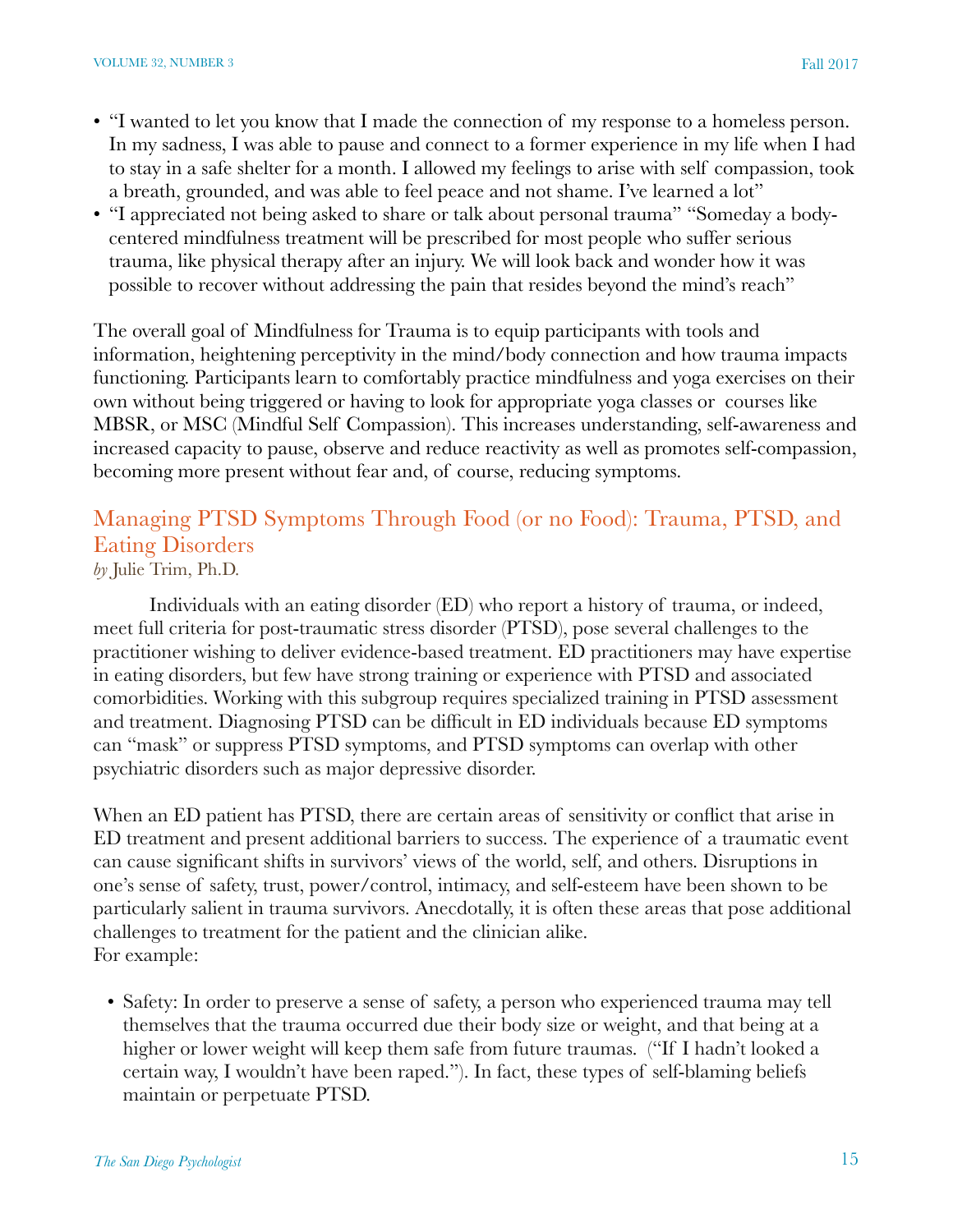- "I wanted to let you know that I made the connection of my response to a homeless person. In my sadness, I was able to pause and connect to a former experience in my life when I had to stay in a safe shelter for a month. I allowed my feelings to arise with self compassion, took a breath, grounded, and was able to feel peace and not shame. I've learned a lot"
- "I appreciated not being asked to share or talk about personal trauma" "Someday a bodycentered mindfulness treatment will be prescribed for most people who suffer serious trauma, like physical therapy after an injury. We will look back and wonder how it was possible to recover without addressing the pain that resides beyond the mind's reach"

The overall goal of Mindfulness for Trauma is to equip participants with tools and information, heightening perceptivity in the mind/body connection and how trauma impacts functioning. Participants learn to comfortably practice mindfulness and yoga exercises on their own without being triggered or having to look for appropriate yoga classes or courses like MBSR, or MSC (Mindful Self Compassion). This increases understanding, self-awareness and increased capacity to pause, observe and reduce reactivity as well as promotes self-compassion, becoming more present without fear and, of course, reducing symptoms.

# Managing PTSD Symptoms Through Food (or no Food): Trauma, PTSD, and Eating Disorders

*by* Julie Trim, Ph.D.

Individuals with an eating disorder (ED) who report a history of trauma, or indeed, meet full criteria for post-traumatic stress disorder (PTSD), pose several challenges to the practitioner wishing to deliver evidence-based treatment. ED practitioners may have expertise in eating disorders, but few have strong training or experience with PTSD and associated comorbidities. Working with this subgroup requires specialized training in PTSD assessment and treatment. Diagnosing PTSD can be difficult in ED individuals because ED symptoms can "mask" or suppress PTSD symptoms, and PTSD symptoms can overlap with other psychiatric disorders such as major depressive disorder.

When an ED patient has PTSD, there are certain areas of sensitivity or conflict that arise in ED treatment and present additional barriers to success. The experience of a traumatic event can cause significant shifts in survivors' views of the world, self, and others. Disruptions in one's sense of safety, trust, power/control, intimacy, and self-esteem have been shown to be particularly salient in trauma survivors. Anecdotally, it is often these areas that pose additional challenges to treatment for the patient and the clinician alike. For example:

• Safety: In order to preserve a sense of safety, a person who experienced trauma may tell themselves that the trauma occurred due their body size or weight, and that being at a higher or lower weight will keep them safe from future traumas. ("If I hadn't looked a certain way, I wouldn't have been raped."). In fact, these types of self-blaming beliefs maintain or perpetuate PTSD.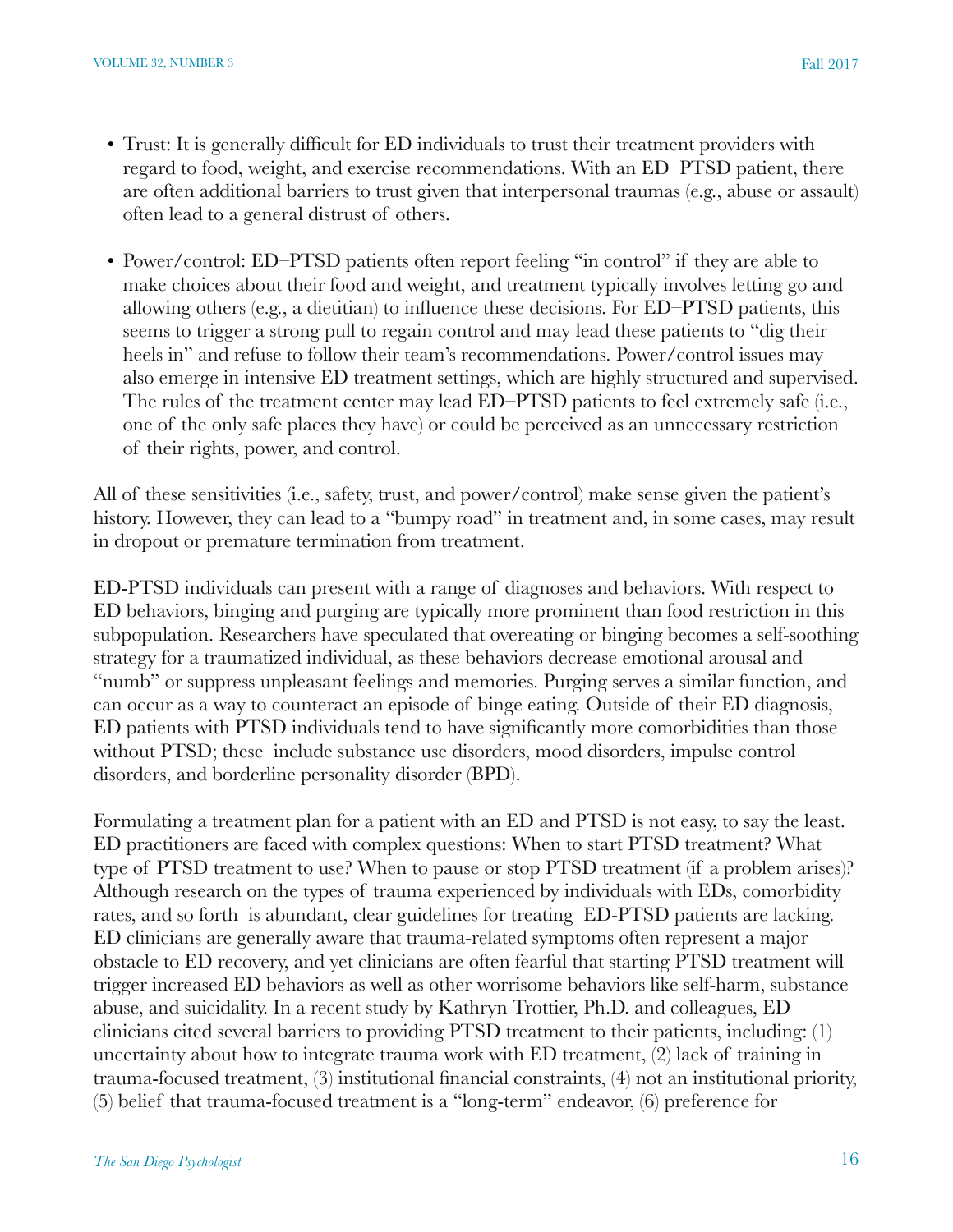- Trust: It is generally difficult for ED individuals to trust their treatment providers with regard to food, weight, and exercise recommendations. With an ED–PTSD patient, there are often additional barriers to trust given that interpersonal traumas (e.g., abuse or assault) often lead to a general distrust of others.
- Power/control: ED–PTSD patients often report feeling "in control" if they are able to make choices about their food and weight, and treatment typically involves letting go and allowing others (e.g., a dietitian) to influence these decisions. For ED–PTSD patients, this seems to trigger a strong pull to regain control and may lead these patients to "dig their heels in" and refuse to follow their team's recommendations. Power/control issues may also emerge in intensive ED treatment settings, which are highly structured and supervised. The rules of the treatment center may lead ED–PTSD patients to feel extremely safe (i.e., one of the only safe places they have) or could be perceived as an unnecessary restriction of their rights, power, and control.

All of these sensitivities (i.e., safety, trust, and power/control) make sense given the patient's history. However, they can lead to a "bumpy road" in treatment and, in some cases, may result in dropout or premature termination from treatment.

ED-PTSD individuals can present with a range of diagnoses and behaviors. With respect to ED behaviors, binging and purging are typically more prominent than food restriction in this subpopulation. Researchers have speculated that overeating or binging becomes a self-soothing strategy for a traumatized individual, as these behaviors decrease emotional arousal and "numb" or suppress unpleasant feelings and memories. Purging serves a similar function, and can occur as a way to counteract an episode of binge eating. Outside of their ED diagnosis, ED patients with PTSD individuals tend to have significantly more comorbidities than those without PTSD; these include substance use disorders, mood disorders, impulse control disorders, and borderline personality disorder (BPD).

Formulating a treatment plan for a patient with an ED and PTSD is not easy, to say the least. ED practitioners are faced with complex questions: When to start PTSD treatment? What type of PTSD treatment to use? When to pause or stop PTSD treatment (if a problem arises)? Although research on the types of trauma experienced by individuals with EDs, comorbidity rates, and so forth is abundant, clear guidelines for treating ED-PTSD patients are lacking. ED clinicians are generally aware that trauma-related symptoms often represent a major obstacle to ED recovery, and yet clinicians are often fearful that starting PTSD treatment will trigger increased ED behaviors as well as other worrisome behaviors like self-harm, substance abuse, and suicidality. In a recent study by Kathryn Trottier, Ph.D. and colleagues, ED clinicians cited several barriers to providing PTSD treatment to their patients, including: (1) uncertainty about how to integrate trauma work with ED treatment, (2) lack of training in trauma-focused treatment, (3) institutional financial constraints, (4) not an institutional priority, (5) belief that trauma-focused treatment is a "long-term" endeavor, (6) preference for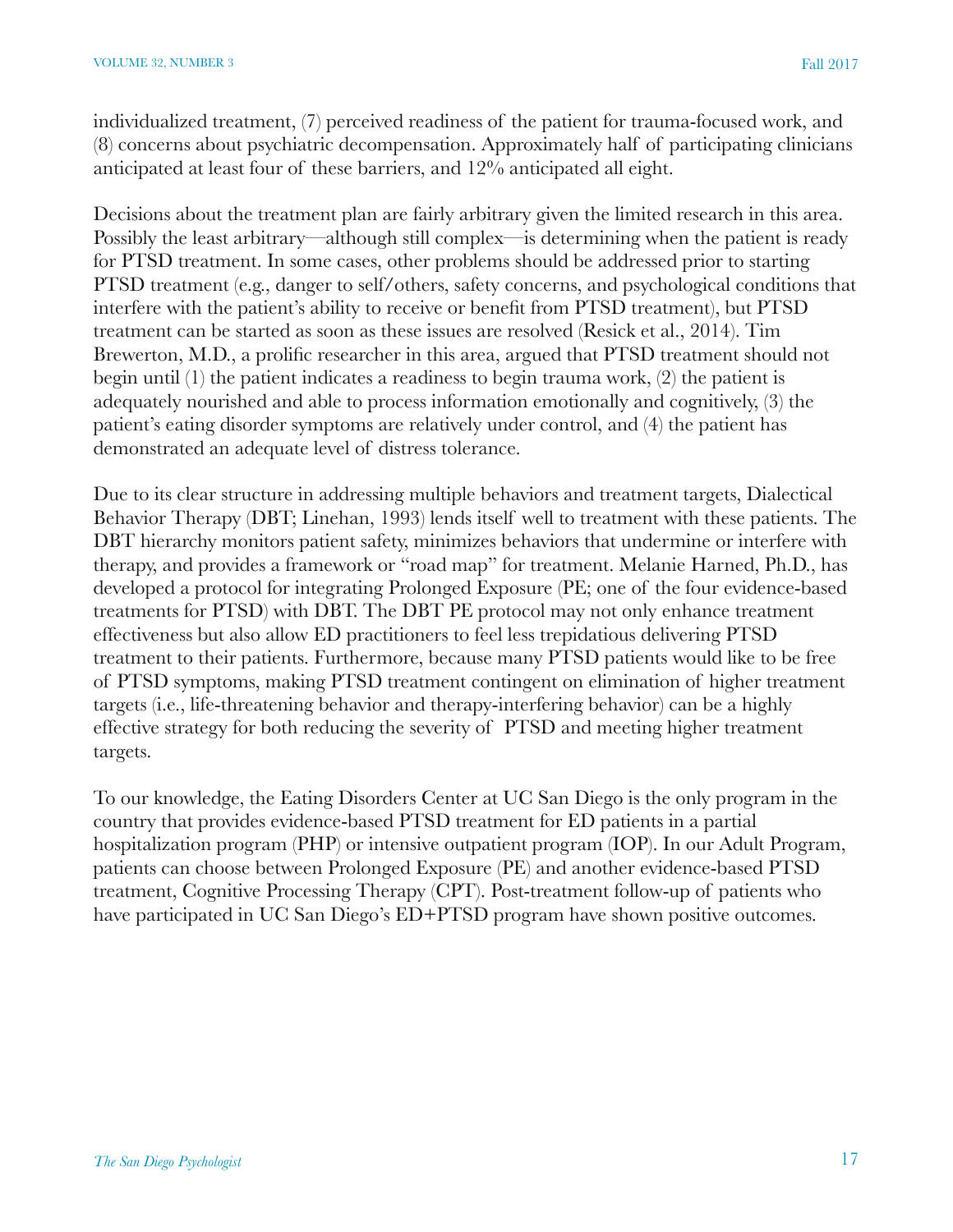individualized treatment, (7) perceived readiness of the patient for trauma-focused work, and (8) concerns about psychiatric decompensation. Approximately half of participating clinicians anticipated at least four of these barriers, and 12% anticipated all eight.

Decisions about the treatment plan are fairly arbitrary given the limited research in this area. Possibly the least arbitrary—although still complex—is determining when the patient is ready for PTSD treatment. In some cases, other problems should be addressed prior to starting PTSD treatment (e.g., danger to self/others, safety concerns, and psychological conditions that interfere with the patient's ability to receive or benefit from PTSD treatment), but PTSD treatment can be started as soon as these issues are resolved (Resick et al., 2014). Tim Brewerton, M.D., a prolific researcher in this area, argued that PTSD treatment should not begin until (1) the patient indicates a readiness to begin trauma work, (2) the patient is adequately nourished and able to process information emotionally and cognitively, (3) the patient's eating disorder symptoms are relatively under control, and (4) the patient has demonstrated an adequate level of distress tolerance.

Due to its clear structure in addressing multiple behaviors and treatment targets, Dialectical Behavior Therapy (DBT; Linehan, 1993) lends itself well to treatment with these patients. The DBT hierarchy monitors patient safety, minimizes behaviors that undermine or interfere with therapy, and provides a framework or "road map" for treatment. Melanie Harned, Ph.D., has developed a protocol for integrating Prolonged Exposure (PE; one of the four evidence-based treatments for PTSD) with DBT. The DBT PE protocol may not only enhance treatment effectiveness but also allow ED practitioners to feel less trepidatious delivering PTSD treatment to their patients. Furthermore, because many PTSD patients would like to be free of PTSD symptoms, making PTSD treatment contingent on elimination of higher treatment targets (i.e., life-threatening behavior and therapy-interfering behavior) can be a highly effective strategy for both reducing the severity of PTSD and meeting higher treatment targets.

To our knowledge, the Eating Disorders Center at UC San Diego is the only program in the country that provides evidence-based PTSD treatment for ED patients in a partial hospitalization program (PHP) or intensive outpatient program (IOP). In our Adult Program, patients can choose between Prolonged Exposure (PE) and another evidence-based PTSD treatment, Cognitive Processing Therapy (CPT). Post-treatment follow-up of patients who have participated in UC San Diego's ED+PTSD program have shown positive outcomes.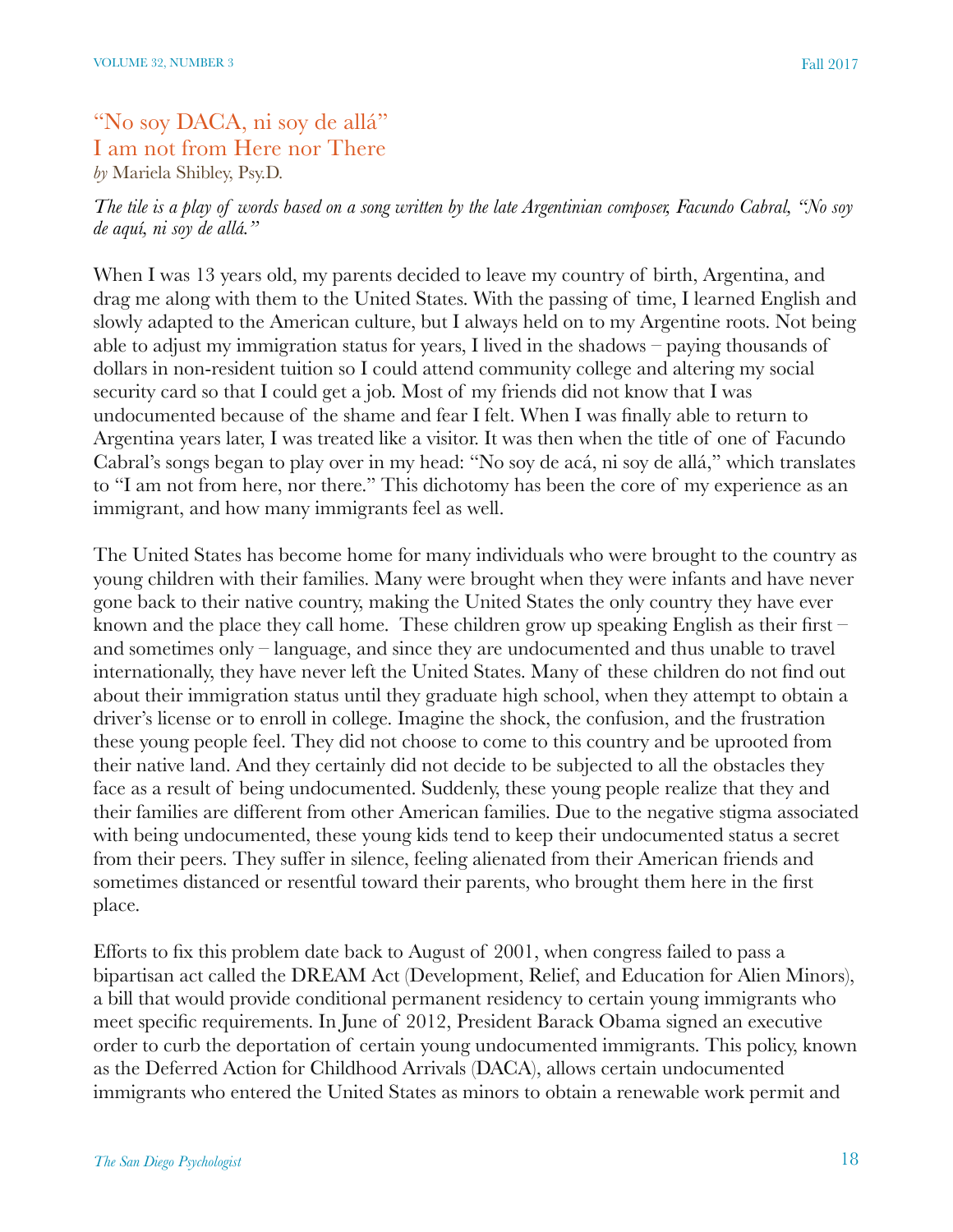# "No soy DACA, ni soy de allá" I am not from Here nor There *by* Mariela Shibley, Psy.D.

*The tile is a play of words based on a song written by the late Argentinian composer, Facundo Cabral, "No soy de aquí, ni soy de allá."* 

When I was 13 years old, my parents decided to leave my country of birth, Argentina, and drag me along with them to the United States. With the passing of time, I learned English and slowly adapted to the American culture, but I always held on to my Argentine roots. Not being able to adjust my immigration status for years, I lived in the shadows – paying thousands of dollars in non-resident tuition so I could attend community college and altering my social security card so that I could get a job. Most of my friends did not know that I was undocumented because of the shame and fear I felt. When I was finally able to return to Argentina years later, I was treated like a visitor. It was then when the title of one of Facundo Cabral's songs began to play over in my head: "No soy de acá, ni soy de allá," which translates to "I am not from here, nor there." This dichotomy has been the core of my experience as an immigrant, and how many immigrants feel as well.

The United States has become home for many individuals who were brought to the country as young children with their families. Many were brought when they were infants and have never gone back to their native country, making the United States the only country they have ever known and the place they call home. These children grow up speaking English as their first – and sometimes only – language, and since they are undocumented and thus unable to travel internationally, they have never left the United States. Many of these children do not find out about their immigration status until they graduate high school, when they attempt to obtain a driver's license or to enroll in college. Imagine the shock, the confusion, and the frustration these young people feel. They did not choose to come to this country and be uprooted from their native land. And they certainly did not decide to be subjected to all the obstacles they face as a result of being undocumented. Suddenly, these young people realize that they and their families are different from other American families. Due to the negative stigma associated with being undocumented, these young kids tend to keep their undocumented status a secret from their peers. They suffer in silence, feeling alienated from their American friends and sometimes distanced or resentful toward their parents, who brought them here in the first place.

Efforts to fix this problem date back to August of 2001, when congress failed to pass a bipartisan act called the DREAM Act (Development, Relief, and Education for Alien Minors), a bill that would provide conditional permanent residency to certain young immigrants who meet specific requirements. In June of 2012, President Barack Obama signed an executive order to curb the deportation of certain young undocumented immigrants. This policy, known as the Deferred Action for Childhood Arrivals (DACA), allows certain undocumented immigrants who entered the United States as minors to obtain a renewable work permit and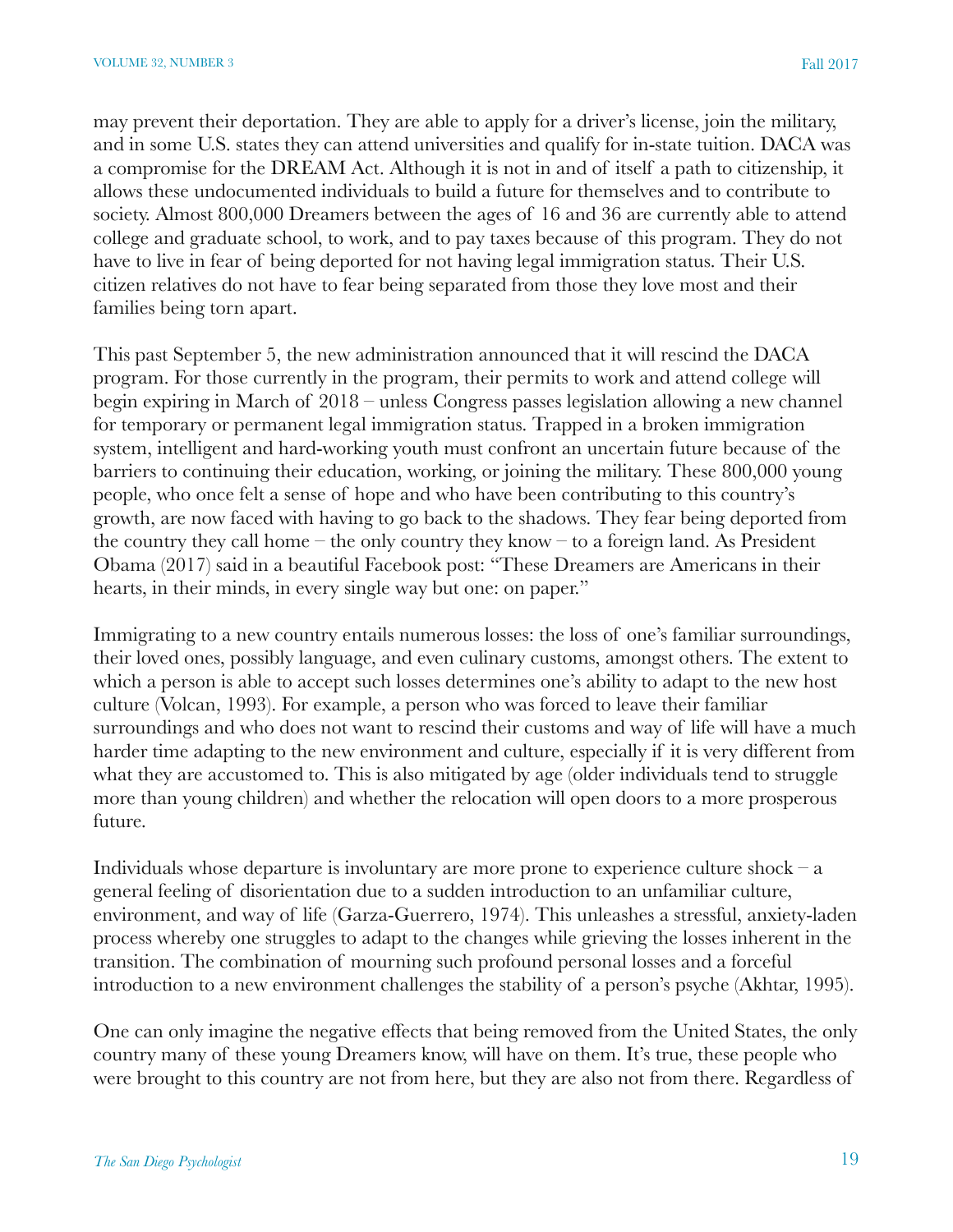may prevent their deportation. They are able to apply for a driver's license, join the military, and in some U.S. states they can attend universities and qualify for in-state tuition. DACA was a compromise for the DREAM Act. Although it is not in and of itself a path to citizenship, it allows these undocumented individuals to build a future for themselves and to contribute to society. Almost 800,000 Dreamers between the ages of 16 and 36 are currently able to attend college and graduate school, to work, and to pay taxes because of this program. They do not have to live in fear of being deported for not having legal immigration status. Their U.S. citizen relatives do not have to fear being separated from those they love most and their families being torn apart.

This past September 5, the new administration announced that it will rescind the DACA program. For those currently in the program, their permits to work and attend college will begin expiring in March of 2018 – unless Congress passes legislation allowing a new channel for temporary or permanent legal immigration status. Trapped in a broken immigration system, intelligent and hard-working youth must confront an uncertain future because of the barriers to continuing their education, working, or joining the military. These 800,000 young people, who once felt a sense of hope and who have been contributing to this country's growth, are now faced with having to go back to the shadows. They fear being deported from the country they call home – the only country they know – to a foreign land. As President Obama (2017) said in a beautiful Facebook post: "These Dreamers are Americans in their hearts, in their minds, in every single way but one: on paper."

Immigrating to a new country entails numerous losses: the loss of one's familiar surroundings, their loved ones, possibly language, and even culinary customs, amongst others. The extent to which a person is able to accept such losses determines one's ability to adapt to the new host culture (Volcan, 1993). For example, a person who was forced to leave their familiar surroundings and who does not want to rescind their customs and way of life will have a much harder time adapting to the new environment and culture, especially if it is very different from what they are accustomed to. This is also mitigated by age (older individuals tend to struggle more than young children) and whether the relocation will open doors to a more prosperous future.

Individuals whose departure is involuntary are more prone to experience culture shock  $-a$ general feeling of disorientation due to a sudden introduction to an unfamiliar culture, environment, and way of life (Garza-Guerrero, 1974). This unleashes a stressful, anxiety-laden process whereby one struggles to adapt to the changes while grieving the losses inherent in the transition. The combination of mourning such profound personal losses and a forceful introduction to a new environment challenges the stability of a person's psyche (Akhtar, 1995).

One can only imagine the negative effects that being removed from the United States, the only country many of these young Dreamers know, will have on them. It's true, these people who were brought to this country are not from here, but they are also not from there. Regardless of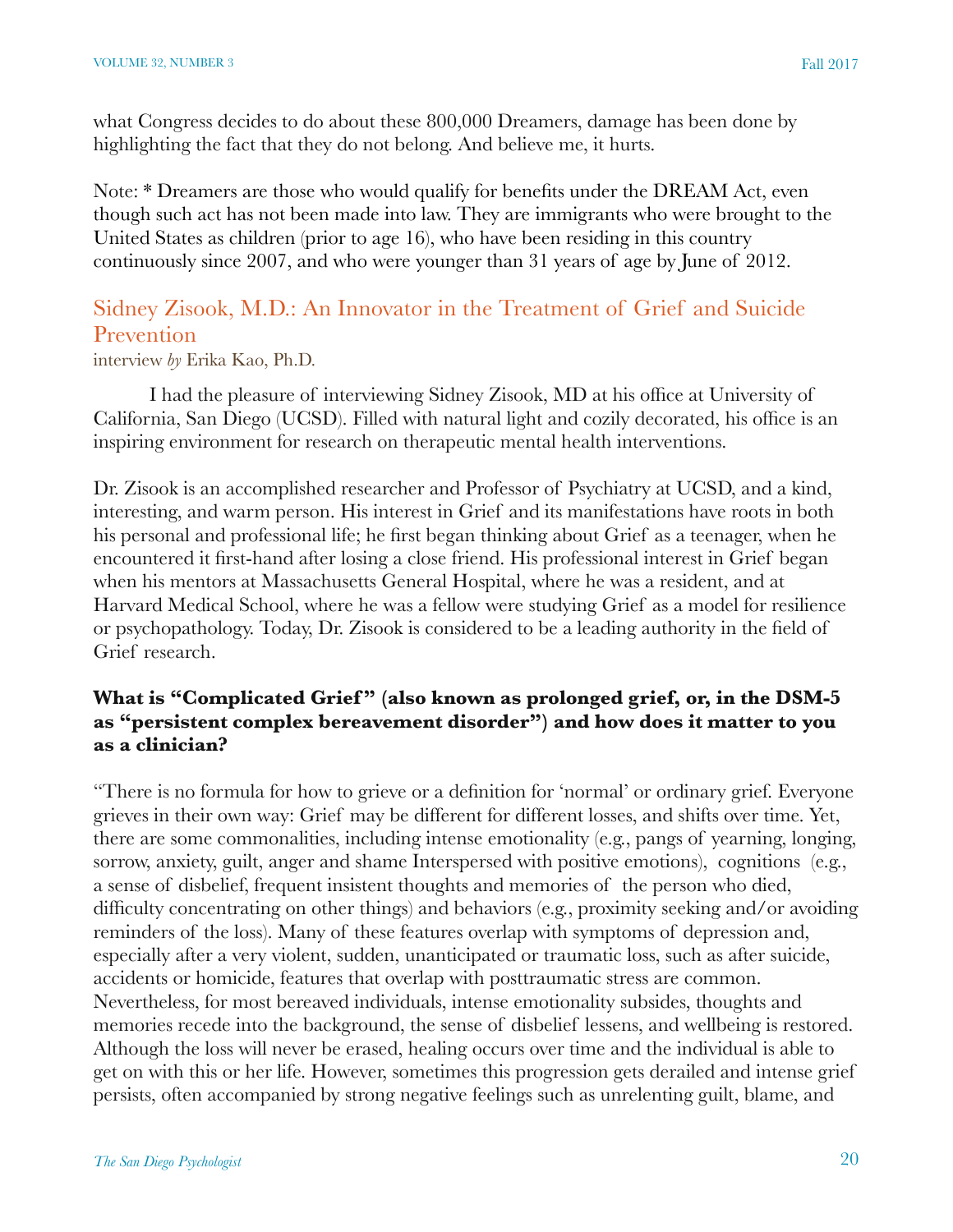what Congress decides to do about these 800,000 Dreamers, damage has been done by highlighting the fact that they do not belong. And believe me, it hurts.

Note: \* Dreamers are those who would qualify for benefits under the DREAM Act, even though such act has not been made into law. They are immigrants who were brought to the United States as children (prior to age 16), who have been residing in this country continuously since 2007, and who were younger than 31 years of age by June of 2012.

# Sidney Zisook, M.D.: An Innovator in the Treatment of Grief and Suicide Prevention

interview *by* Erika Kao, Ph.D.

I had the pleasure of interviewing Sidney Zisook, MD at his office at University of California, San Diego (UCSD). Filled with natural light and cozily decorated, his office is an inspiring environment for research on therapeutic mental health interventions.

Dr. Zisook is an accomplished researcher and Professor of Psychiatry at UCSD, and a kind, interesting, and warm person. His interest in Grief and its manifestations have roots in both his personal and professional life; he first began thinking about Grief as a teenager, when he encountered it first-hand after losing a close friend. His professional interest in Grief began when his mentors at Massachusetts General Hospital, where he was a resident, and at Harvard Medical School, where he was a fellow were studying Grief as a model for resilience or psychopathology. Today, Dr. Zisook is considered to be a leading authority in the field of Grief research.

## What is "Complicated Grief" (also known as prolonged grief, or, in the DSM-5 **as "persistent complex bereavement disorder") and how does it matter to you as a clinician?**

"There is no formula for how to grieve or a definition for 'normal' or ordinary grief. Everyone grieves in their own way: Grief may be different for different losses, and shifts over time. Yet, there are some commonalities, including intense emotionality (e.g., pangs of yearning, longing, sorrow, anxiety, guilt, anger and shame Interspersed with positive emotions), cognitions (e.g., a sense of disbelief, frequent insistent thoughts and memories of the person who died, difficulty concentrating on other things) and behaviors (e.g., proximity seeking and/or avoiding reminders of the loss). Many of these features overlap with symptoms of depression and, especially after a very violent, sudden, unanticipated or traumatic loss, such as after suicide, accidents or homicide, features that overlap with posttraumatic stress are common. Nevertheless, for most bereaved individuals, intense emotionality subsides, thoughts and memories recede into the background, the sense of disbelief lessens, and wellbeing is restored. Although the loss will never be erased, healing occurs over time and the individual is able to get on with this or her life. However, sometimes this progression gets derailed and intense grief persists, often accompanied by strong negative feelings such as unrelenting guilt, blame, and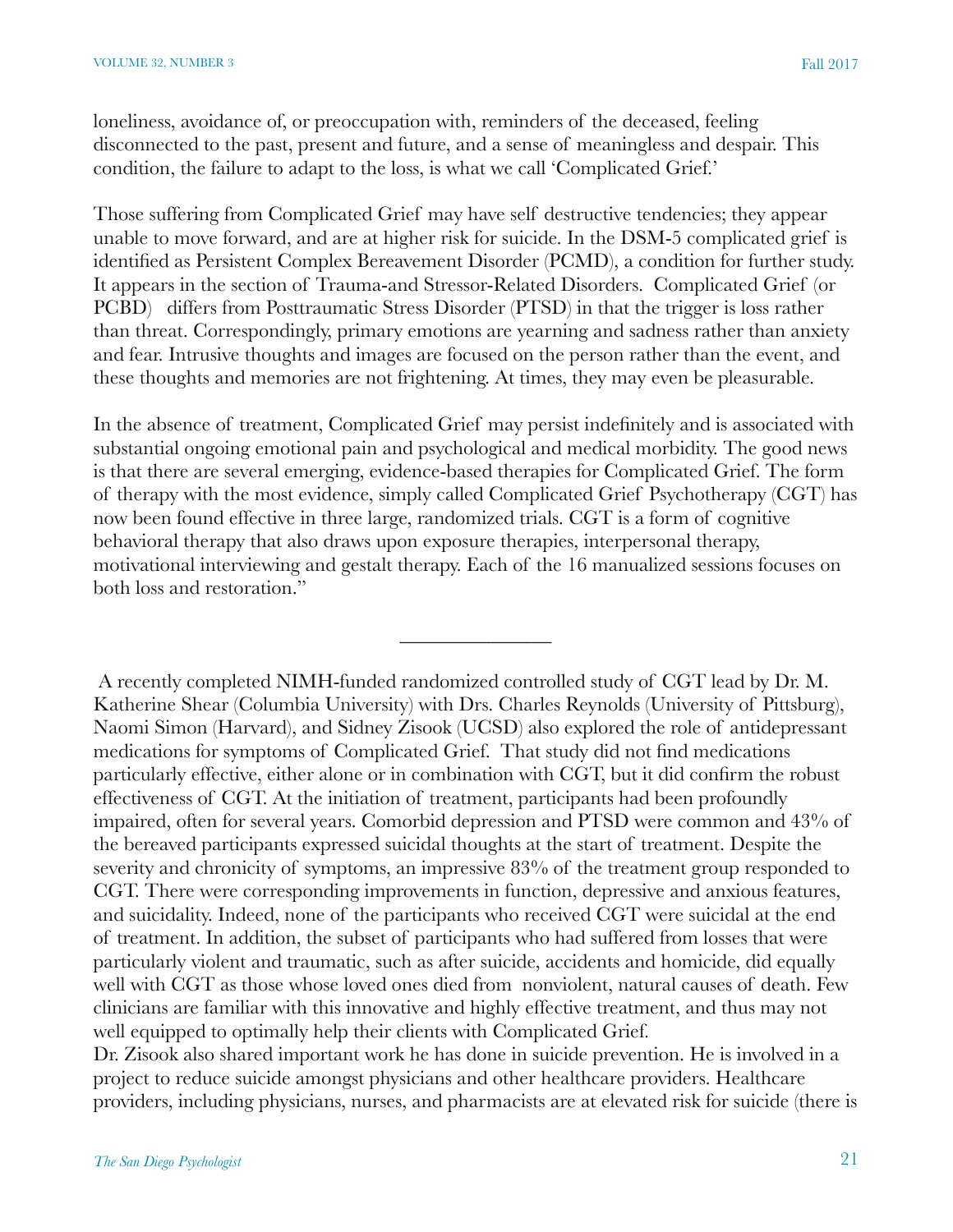loneliness, avoidance of, or preoccupation with, reminders of the deceased, feeling disconnected to the past, present and future, and a sense of meaningless and despair. This condition, the failure to adapt to the loss, is what we call 'Complicated Grief.'

Those suffering from Complicated Grief may have self destructive tendencies; they appear unable to move forward, and are at higher risk for suicide. In the DSM-5 complicated grief is identified as Persistent Complex Bereavement Disorder (PCMD), a condition for further study. It appears in the section of Trauma-and Stressor-Related Disorders. Complicated Grief (or PCBD) differs from Posttraumatic Stress Disorder (PTSD) in that the trigger is loss rather than threat. Correspondingly, primary emotions are yearning and sadness rather than anxiety and fear. Intrusive thoughts and images are focused on the person rather than the event, and these thoughts and memories are not frightening. At times, they may even be pleasurable.

In the absence of treatment, Complicated Grief may persist indefinitely and is associated with substantial ongoing emotional pain and psychological and medical morbidity. The good news is that there are several emerging, evidence-based therapies for Complicated Grief. The form of therapy with the most evidence, simply called Complicated Grief Psychotherapy (CGT) has now been found effective in three large, randomized trials. CGT is a form of cognitive behavioral therapy that also draws upon exposure therapies, interpersonal therapy, motivational interviewing and gestalt therapy. Each of the 16 manualized sessions focuses on both loss and restoration."

 $\overline{\phantom{a}}$ 

 A recently completed NIMH-funded randomized controlled study of CGT lead by Dr. M. Katherine Shear (Columbia University) with Drs. Charles Reynolds (University of Pittsburg), Naomi Simon (Harvard), and Sidney Zisook (UCSD) also explored the role of antidepressant medications for symptoms of Complicated Grief. That study did not find medications particularly effective, either alone or in combination with CGT, but it did confirm the robust effectiveness of CGT. At the initiation of treatment, participants had been profoundly impaired, often for several years. Comorbid depression and PTSD were common and 43% of the bereaved participants expressed suicidal thoughts at the start of treatment. Despite the severity and chronicity of symptoms, an impressive 83% of the treatment group responded to CGT. There were corresponding improvements in function, depressive and anxious features, and suicidality. Indeed, none of the participants who received CGT were suicidal at the end of treatment. In addition, the subset of participants who had suffered from losses that were particularly violent and traumatic, such as after suicide, accidents and homicide, did equally well with CGT as those whose loved ones died from nonviolent, natural causes of death. Few clinicians are familiar with this innovative and highly effective treatment, and thus may not well equipped to optimally help their clients with Complicated Grief.

Dr. Zisook also shared important work he has done in suicide prevention. He is involved in a project to reduce suicide amongst physicians and other healthcare providers. Healthcare providers, including physicians, nurses, and pharmacists are at elevated risk for suicide (there is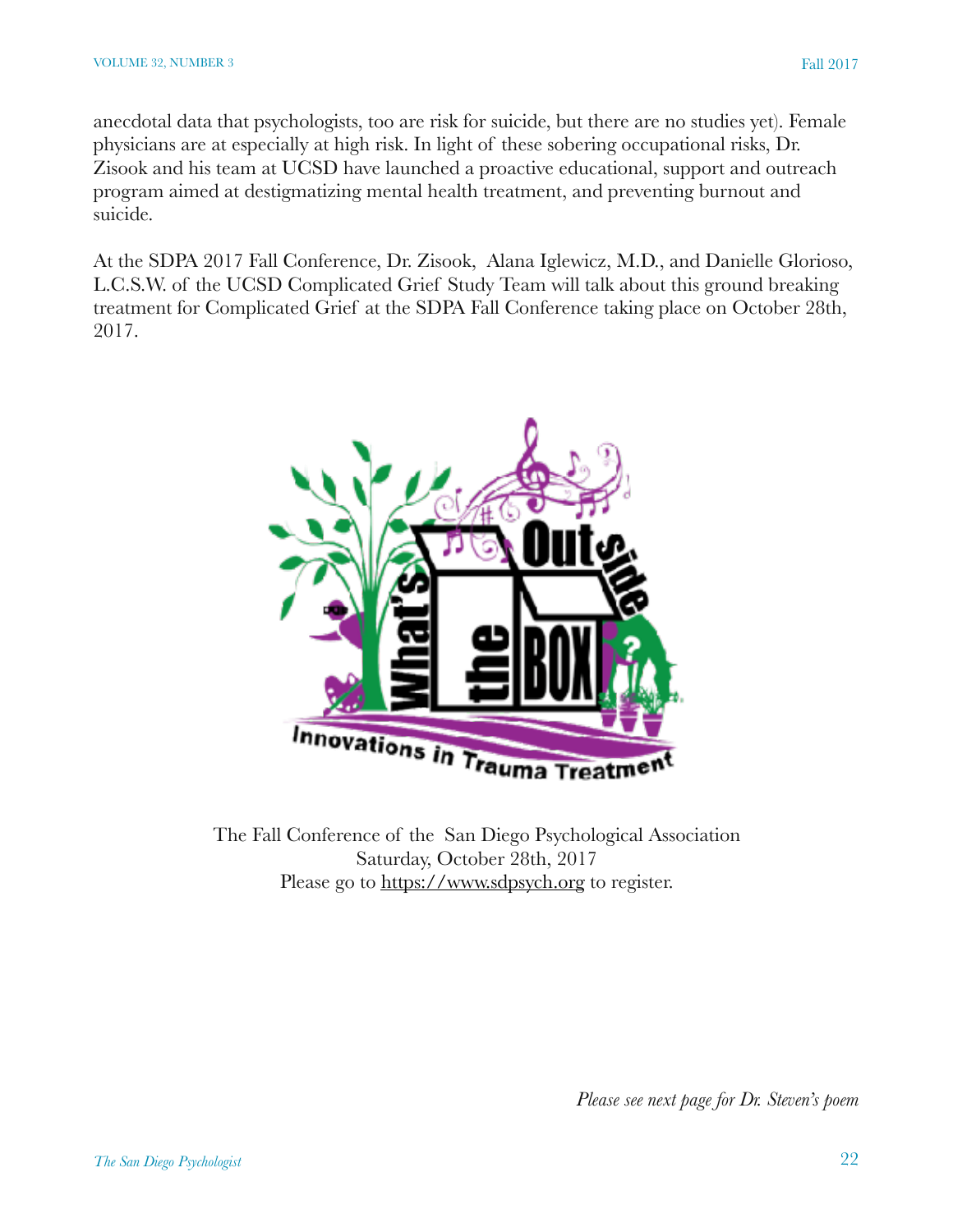anecdotal data that psychologists, too are risk for suicide, but there are no studies yet). Female physicians are at especially at high risk. In light of these sobering occupational risks, Dr. Zisook and his team at UCSD have launched a proactive educational, support and outreach program aimed at destigmatizing mental health treatment, and preventing burnout and suicide.

At the SDPA 2017 Fall Conference, Dr. Zisook, Alana Iglewicz, M.D., and Danielle Glorioso, L.C.S.W. of the UCSD Complicated Grief Study Team will talk about this ground breaking treatment for Complicated Grief at the SDPA Fall Conference taking place on October 28th, 2017.



The Fall Conference of the San Diego Psychological Association Saturday, October 28th, 2017 Please go to<https://www.sdpsych.org>to register.